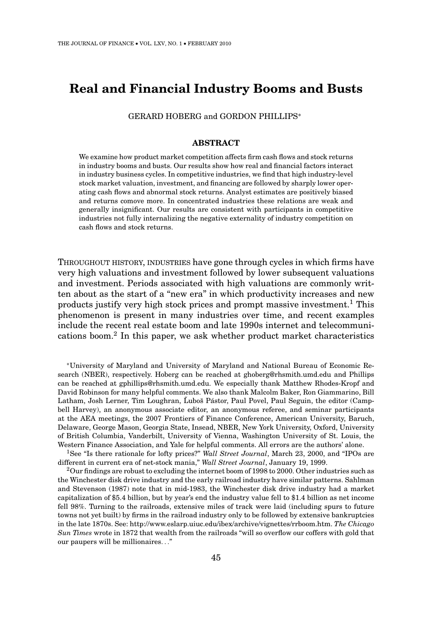### **Real and Financial Industry Booms and Busts**

GERARD HOBERG and GORDON PHILLIPS∗

### **ABSTRACT**

We examine how product market competition affects firm cash flows and stock returns in industry booms and busts. Our results show how real and financial factors interact in industry business cycles. In competitive industries, we find that high industry-level stock market valuation, investment, and financing are followed by sharply lower operating cash flows and abnormal stock returns. Analyst estimates are positively biased and returns comove more. In concentrated industries these relations are weak and generally insignificant. Our results are consistent with participants in competitive industries not fully internalizing the negative externality of industry competition on cash flows and stock returns.

THROUGHOUT HISTORY, INDUSTRIES have gone through cycles in which firms have very high valuations and investment followed by lower subsequent valuations and investment. Periods associated with high valuations are commonly written about as the start of a "new era" in which productivity increases and new products justify very high stock prices and prompt massive investment.<sup>1</sup> This phenomenon is present in many industries over time, and recent examples include the recent real estate boom and late 1990s internet and telecommunications boom.2 In this paper, we ask whether product market characteristics

∗University of Maryland and University of Maryland and National Bureau of Economic Research (NBER), respectively. Hoberg can be reached at ghoberg@rhsmith.umd.edu and Phillips can be reached at gphillips@rhsmith.umd.edu. We especially thank Matthew Rhodes-Kropf and David Robinson for many helpful comments. We also thank Malcolm Baker, Ron Giammarino, Bill Latham, Josh Lerner, Tim Loughran, Luboš Pástor, Paul Povel, Paul Seguin, the editor (Campbell Harvey), an anonymous associate editor, an anonymous referee, and seminar participants at the AEA meetings, the 2007 Frontiers of Finance Conference, American University, Baruch, Delaware, George Mason, Georgia State, Insead, NBER, New York University, Oxford, University of British Columbia, Vanderbilt, University of Vienna, Washington University of St. Louis, the Western Finance Association, and Yale for helpful comments. All errors are the authors' alone.

1See "Is there rationale for lofty prices?" *Wall Street Journal*, March 23, 2000, and "IPOs are different in current era of net-stock mania," *Wall Street Journal*, January 19, 1999.

2Our findings are robust to excluding the internet boom of 1998 to 2000. Other industries such as the Winchester disk drive industry and the early railroad industry have similar patterns. Sahlman and Stevenson (1987) note that in mid-1983, the Winchester disk drive industry had a market capitalization of \$5.4 billion, but by year's end the industry value fell to \$1.4 billion as net income fell 98%. Turning to the railroads, extensive miles of track were laid (including spurs to future towns not yet built) by firms in the railroad industry only to be followed by extensive bankruptcies in the late 1870s. See: http://www.eslarp.uiuc.edu/ibex/archive/vignettes/rrboom.htm. *The Chicago Sun Times* wrote in 1872 that wealth from the railroads "will so overflow our coffers with gold that our paupers will be millionaires..."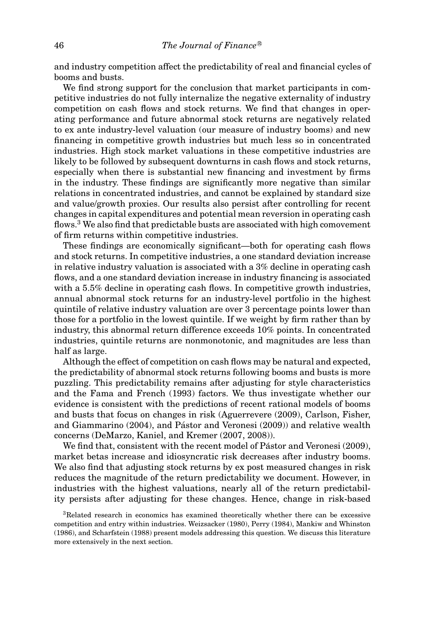and industry competition affect the predictability of real and financial cycles of booms and busts.

We find strong support for the conclusion that market participants in competitive industries do not fully internalize the negative externality of industry competition on cash flows and stock returns. We find that changes in operating performance and future abnormal stock returns are negatively related to ex ante industry-level valuation (our measure of industry booms) and new financing in competitive growth industries but much less so in concentrated industries. High stock market valuations in these competitive industries are likely to be followed by subsequent downturns in cash flows and stock returns, especially when there is substantial new financing and investment by firms in the industry. These findings are significantly more negative than similar relations in concentrated industries, and cannot be explained by standard size and value/growth proxies. Our results also persist after controlling for recent changes in capital expenditures and potential mean reversion in operating cash flows.<sup>3</sup> We also find that predictable busts are associated with high comovement of firm returns within competitive industries.

These findings are economically significant—both for operating cash flows and stock returns. In competitive industries, a one standard deviation increase in relative industry valuation is associated with a 3% decline in operating cash flows, and a one standard deviation increase in industry financing is associated with a 5.5% decline in operating cash flows. In competitive growth industries, annual abnormal stock returns for an industry-level portfolio in the highest quintile of relative industry valuation are over 3 percentage points lower than those for a portfolio in the lowest quintile. If we weight by firm rather than by industry, this abnormal return difference exceeds 10% points. In concentrated industries, quintile returns are nonmonotonic, and magnitudes are less than half as large.

Although the effect of competition on cash flows may be natural and expected, the predictability of abnormal stock returns following booms and busts is more puzzling. This predictability remains after adjusting for style characteristics and the Fama and French (1993) factors. We thus investigate whether our evidence is consistent with the predictions of recent rational models of booms and busts that focus on changes in risk (Aguerrevere (2009), Carlson, Fisher, and Giammarino (2004), and Pástor and Veronesi (2009)) and relative wealth concerns (DeMarzo, Kaniel, and Kremer (2007, 2008)).

We find that, consistent with the recent model of Pástor and Veronesi (2009), market betas increase and idiosyncratic risk decreases after industry booms. We also find that adjusting stock returns by ex post measured changes in risk reduces the magnitude of the return predictability we document. However, in industries with the highest valuations, nearly all of the return predictability persists after adjusting for these changes. Hence, change in risk-based

<sup>&</sup>lt;sup>3</sup>Related research in economics has examined theoretically whether there can be excessive competition and entry within industries. Weizsacker (1980), Perry (1984), Mankiw and Whinston (1986), and Scharfstein (1988) present models addressing this question. We discuss this literature more extensively in the next section.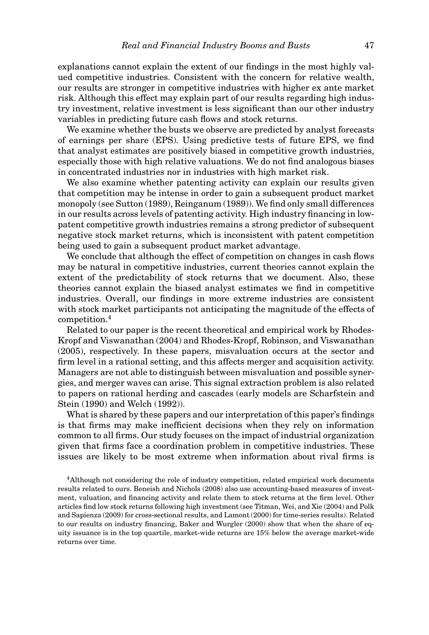explanations cannot explain the extent of our findings in the most highly valued competitive industries. Consistent with the concern for relative wealth, our results are stronger in competitive industries with higher ex ante market risk. Although this effect may explain part of our results regarding high industry investment, relative investment is less significant than our other industry variables in predicting future cash flows and stock returns.

We examine whether the busts we observe are predicted by analyst forecasts of earnings per share (EPS). Using predictive tests of future EPS, we find that analyst estimates are positively biased in competitive growth industries, especially those with high relative valuations. We do not find analogous biases in concentrated industries nor in industries with high market risk.

We also examine whether patenting activity can explain our results given that competition may be intense in order to gain a subsequent product market monopoly (see Sutton (1989), Reinganum (1989)). We find only small differences in our results across levels of patenting activity. High industry financing in lowpatent competitive growth industries remains a strong predictor of subsequent negative stock market returns, which is inconsistent with patent competition being used to gain a subsequent product market advantage.

We conclude that although the effect of competition on changes in cash flows may be natural in competitive industries, current theories cannot explain the extent of the predictability of stock returns that we document. Also, these theories cannot explain the biased analyst estimates we find in competitive industries. Overall, our findings in more extreme industries are consistent with stock market participants not anticipating the magnitude of the effects of competition.<sup>4</sup>

Related to our paper is the recent theoretical and empirical work by Rhodes-Kropf and Viswanathan (2004) and Rhodes-Kropf, Robinson, and Viswanathan (2005), respectively. In these papers, misvaluation occurs at the sector and firm level in a rational setting, and this affects merger and acquisition activity. Managers are not able to distinguish between misvaluation and possible synergies, and merger waves can arise. This signal extraction problem is also related to papers on rational herding and cascades (early models are Scharfstein and Stein (1990) and Welch (1992)).

What is shared by these papers and our interpretation of this paper's findings is that firms may make inefficient decisions when they rely on information common to all firms. Our study focuses on the impact of industrial organization given that firms face a coordination problem in competitive industries. These issues are likely to be most extreme when information about rival firms is

4Although not considering the role of industry competition, related empirical work documents results related to ours. Beneish and Nichols (2008) also use accounting-based measures of investment, valuation, and financing activity and relate them to stock returns at the firm level. Other articles find low stock returns following high investment (see Titman, Wei, and Xie (2004) and Polk and Sapienza (2009) for cross-sectional results, and Lamont (2000) for time-series results). Related to our results on industry financing, Baker and Wurgler (2000) show that when the share of equity issuance is in the top quartile, market-wide returns are 15% below the average market-wide returns over time.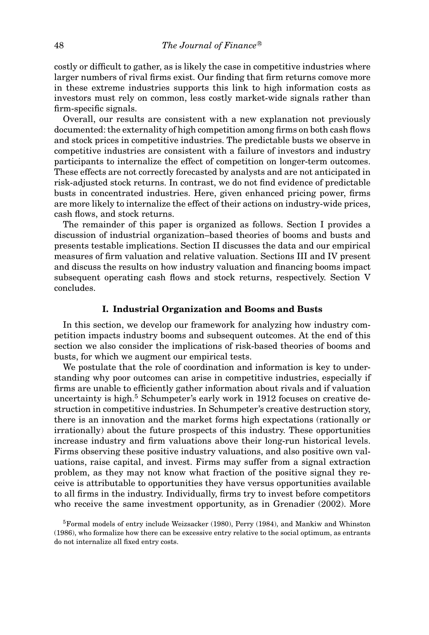costly or difficult to gather, as is likely the case in competitive industries where larger numbers of rival firms exist. Our finding that firm returns comove more in these extreme industries supports this link to high information costs as investors must rely on common, less costly market-wide signals rather than firm-specific signals.

Overall, our results are consistent with a new explanation not previously documented: the externality of high competition among firms on both cash flows and stock prices in competitive industries. The predictable busts we observe in competitive industries are consistent with a failure of investors and industry participants to internalize the effect of competition on longer-term outcomes. These effects are not correctly forecasted by analysts and are not anticipated in risk-adjusted stock returns. In contrast, we do not find evidence of predictable busts in concentrated industries. Here, given enhanced pricing power, firms are more likely to internalize the effect of their actions on industry-wide prices, cash flows, and stock returns.

The remainder of this paper is organized as follows. Section I provides a discussion of industrial organization–based theories of booms and busts and presents testable implications. Section II discusses the data and our empirical measures of firm valuation and relative valuation. Sections III and IV present and discuss the results on how industry valuation and financing booms impact subsequent operating cash flows and stock returns, respectively. Section V concludes.

### **I. Industrial Organization and Booms and Busts**

In this section, we develop our framework for analyzing how industry competition impacts industry booms and subsequent outcomes. At the end of this section we also consider the implications of risk-based theories of booms and busts, for which we augment our empirical tests.

We postulate that the role of coordination and information is key to understanding why poor outcomes can arise in competitive industries, especially if firms are unable to efficiently gather information about rivals and if valuation uncertainty is high. $5$  Schumpeter's early work in 1912 focuses on creative destruction in competitive industries. In Schumpeter's creative destruction story, there is an innovation and the market forms high expectations (rationally or irrationally) about the future prospects of this industry. These opportunities increase industry and firm valuations above their long-run historical levels. Firms observing these positive industry valuations, and also positive own valuations, raise capital, and invest. Firms may suffer from a signal extraction problem, as they may not know what fraction of the positive signal they receive is attributable to opportunities they have versus opportunities available to all firms in the industry. Individually, firms try to invest before competitors who receive the same investment opportunity, as in Grenadier (2002). More

 $5$ Formal models of entry include Weizsacker (1980), Perry (1984), and Mankiw and Whinston (1986), who formalize how there can be excessive entry relative to the social optimum, as entrants do not internalize all fixed entry costs.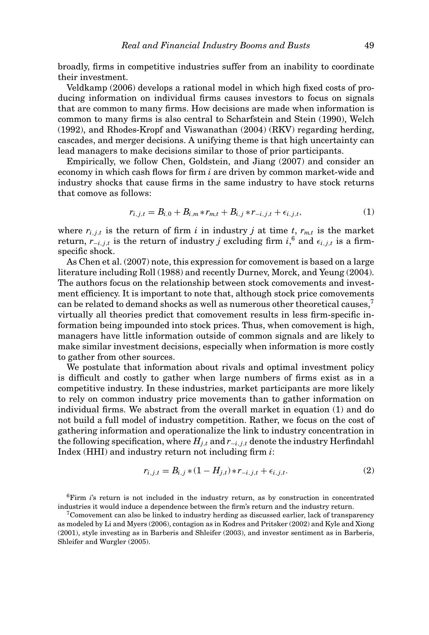broadly, firms in competitive industries suffer from an inability to coordinate their investment.

Veldkamp (2006) develops a rational model in which high fixed costs of producing information on individual firms causes investors to focus on signals that are common to many firms. How decisions are made when information is common to many firms is also central to Scharfstein and Stein (1990), Welch (1992), and Rhodes-Kropf and Viswanathan (2004) (RKV) regarding herding, cascades, and merger decisions. A unifying theme is that high uncertainty can lead managers to make decisions similar to those of prior participants.

Empirically, we follow Chen, Goldstein, and Jiang (2007) and consider an economy in which cash flows for firm *i* are driven by common market-wide and industry shocks that cause firms in the same industry to have stock returns that comove as follows:

$$
r_{i,j,t} = B_{i,0} + B_{i,m} * r_{m,t} + B_{i,j} * r_{-i,j,t} + \epsilon_{i,j,t},
$$
\n(1)

where  $r_{i,j,t}$  is the return of firm *i* in industry *j* at time *t*,  $r_{m,t}$  is the market return,  $r_{-i,j,t}$  is the return of industry *j* excluding firm  $i$ ,<sup>6</sup> and  $\epsilon_{i,j,t}$  is a firmspecific shock.

As Chen et al. (2007) note, this expression for comovement is based on a large literature including Roll (1988) and recently Durnev, Morck, and Yeung (2004). The authors focus on the relationship between stock comovements and investment efficiency. It is important to note that, although stock price comovements can be related to demand shocks as well as numerous other theoretical causes,<sup>7</sup> virtually all theories predict that comovement results in less firm-specific information being impounded into stock prices. Thus, when comovement is high, managers have little information outside of common signals and are likely to make similar investment decisions, especially when information is more costly to gather from other sources.

We postulate that information about rivals and optimal investment policy is difficult and costly to gather when large numbers of firms exist as in a competitive industry. In these industries, market participants are more likely to rely on common industry price movements than to gather information on individual firms. We abstract from the overall market in equation (1) and do not build a full model of industry competition. Rather, we focus on the cost of gathering information and operationalize the link to industry concentration in the following specification, where *Hj*,*<sup>t</sup>* and *r*−*i*,*j*,*<sup>t</sup>* denote the industry Herfindahl Index (HHI) and industry return not including firm *i*:

$$
r_{i,j,t} = B_{i,j} * (1 - H_{j,t}) * r_{-i,j,t} + \epsilon_{i,j,t}.
$$
 (2)

<sup>6</sup>Firm *i*'s return is not included in the industry return, as by construction in concentrated industries it would induce a dependence between the firm's return and the industry return.

7Comovement can also be linked to industry herding as discussed earlier, lack of transparency as modeled by Li and Myers (2006), contagion as in Kodres and Pritsker (2002) and Kyle and Xiong (2001), style investing as in Barberis and Shleifer (2003), and investor sentiment as in Barberis, Shleifer and Wurgler (2005).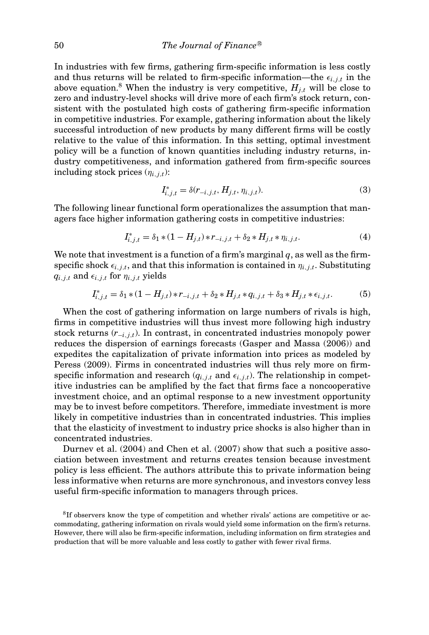In industries with few firms, gathering firm-specific information is less costly and thus returns will be related to firm-specific information—the  $\epsilon_{i,j,t}$  in the above equation.<sup>8</sup> When the industry is very competitive,  $H_{j,t}$  will be close to zero and industry-level shocks will drive more of each firm's stock return, consistent with the postulated high costs of gathering firm-specific information in competitive industries. For example, gathering information about the likely successful introduction of new products by many different firms will be costly relative to the value of this information. In this setting, optimal investment policy will be a function of known quantities including industry returns, industry competitiveness, and information gathered from firm-specific sources including stock prices  $(\eta_{i,j,t})$ :

$$
I_{i,j,t}^* = \delta(r_{-i,j,t}, H_{j,t}, \eta_{i,j,t}).
$$
\n(3)

The following linear functional form operationalizes the assumption that managers face higher information gathering costs in competitive industries:

$$
I_{i,j,t}^* = \delta_1 * (1 - H_{j,t}) * r_{-i,j,t} + \delta_2 * H_{j,t} * \eta_{i,j,t}.
$$
\n(4)

We note that investment is a function of a firm's marginal  $q$ , as well as the firmspecific shock  $\epsilon_{i,j,t}$ , and that this information is contained in  $\eta_{i,j,t}$ . Substituting  $q_{i,j,t}$  and  $\epsilon_{i,j,t}$  for  $\eta_{i,j,t}$  yields

$$
I_{i,j,t}^* = \delta_1 * (1 - H_{j,t}) * r_{-i,j,t} + \delta_2 * H_{j,t} * q_{i,j,t} + \delta_3 * H_{j,t} * \epsilon_{i,j,t}.
$$
 (5)

When the cost of gathering information on large numbers of rivals is high, firms in competitive industries will thus invest more following high industry stock returns (*r*−*i*,*j*,*<sup>t</sup>*). In contrast, in concentrated industries monopoly power reduces the dispersion of earnings forecasts (Gasper and Massa (2006)) and expedites the capitalization of private information into prices as modeled by Peress (2009). Firms in concentrated industries will thus rely more on firmspecific information and research  $(q_{i,j,t}$  and  $\epsilon_{i,j,t}$ ). The relationship in competitive industries can be amplified by the fact that firms face a noncooperative investment choice, and an optimal response to a new investment opportunity may be to invest before competitors. Therefore, immediate investment is more likely in competitive industries than in concentrated industries. This implies that the elasticity of investment to industry price shocks is also higher than in concentrated industries.

Durnev et al. (2004) and Chen et al. (2007) show that such a positive association between investment and returns creates tension because investment policy is less efficient. The authors attribute this to private information being less informative when returns are more synchronous, and investors convey less useful firm-specific information to managers through prices.

8If observers know the type of competition and whether rivals' actions are competitive or accommodating, gathering information on rivals would yield some information on the firm's returns. However, there will also be firm-specific information, including information on firm strategies and production that will be more valuable and less costly to gather with fewer rival firms.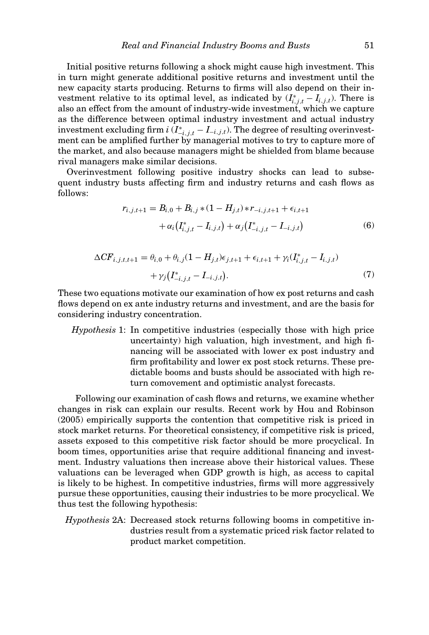Initial positive returns following a shock might cause high investment. This in turn might generate additional positive returns and investment until the new capacity starts producing. Returns to firms will also depend on their investment relative to its optimal level, as indicated by  $(I_{i,j,t}^* - I_{i,j,t})$ . There is also an effect from the amount of industry-wide investment, which we capture as the difference between optimal industry investment and actual industry investment excluding firm  $i$  ( $I_{-i,j,t}^* - I_{-i,j,t}$ ). The degree of resulting overinvestment can be amplified further by managerial motives to try to capture more of the market, and also because managers might be shielded from blame because rival managers make similar decisions.

Overinvestment following positive industry shocks can lead to subsequent industry busts affecting firm and industry returns and cash flows as follows:

$$
r_{i,j,t+1} = B_{i,0} + B_{i,j} * (1 - H_{j,t}) * r_{-i,j,t+1} + \epsilon_{i,t+1}
$$
  
+ 
$$
\alpha_i (I_{i,j,t}^* - I_{i,j,t}) + \alpha_j (I_{-i,j,t}^* - I_{-i,j,t})
$$
 (6)

$$
\Delta CF_{i,j,t,t+1} = \theta_{i,0} + \theta_{i,j}(1 - H_{j,t})\epsilon_{j,t+1} + \epsilon_{i,t+1} + \gamma_i(I_{i,j,t}^* - I_{i,j,t}) + \gamma_j(I_{-i,j,t}^* - I_{-i,j,t}).
$$
\n(7)

These two equations motivate our examination of how ex post returns and cash flows depend on ex ante industry returns and investment, and are the basis for considering industry concentration.

*Hypothesis* 1: In competitive industries (especially those with high price uncertainty) high valuation, high investment, and high financing will be associated with lower ex post industry and firm profitability and lower ex post stock returns. These predictable booms and busts should be associated with high return comovement and optimistic analyst forecasts.

Following our examination of cash flows and returns, we examine whether changes in risk can explain our results. Recent work by Hou and Robinson (2005) empirically supports the contention that competitive risk is priced in stock market returns. For theoretical consistency, if competitive risk is priced, assets exposed to this competitive risk factor should be more procyclical. In boom times, opportunities arise that require additional financing and investment. Industry valuations then increase above their historical values. These valuations can be leveraged when GDP growth is high, as access to capital is likely to be highest. In competitive industries, firms will more aggressively pursue these opportunities, causing their industries to be more procyclical. We thus test the following hypothesis:

*Hypothesis* 2A: Decreased stock returns following booms in competitive industries result from a systematic priced risk factor related to product market competition.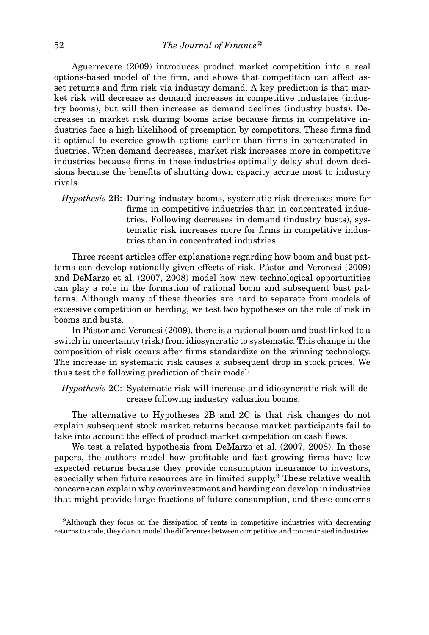Aguerrevere (2009) introduces product market competition into a real options-based model of the firm, and shows that competition can affect asset returns and firm risk via industry demand. A key prediction is that market risk will decrease as demand increases in competitive industries (industry booms), but will then increase as demand declines (industry busts). Decreases in market risk during booms arise because firms in competitive industries face a high likelihood of preemption by competitors. These firms find it optimal to exercise growth options earlier than firms in concentrated industries. When demand decreases, market risk increases more in competitive industries because firms in these industries optimally delay shut down decisions because the benefits of shutting down capacity accrue most to industry rivals.

*Hypothesis* 2B: During industry booms, systematic risk decreases more for firms in competitive industries than in concentrated industries. Following decreases in demand (industry busts), systematic risk increases more for firms in competitive industries than in concentrated industries.

Three recent articles offer explanations regarding how boom and bust patterns can develop rationally given effects of risk. Pástor and Veronesi (2009) and DeMarzo et al. (2007, 2008) model how new technological opportunities can play a role in the formation of rational boom and subsequent bust patterns. Although many of these theories are hard to separate from models of excessive competition or herding, we test two hypotheses on the role of risk in booms and busts.

In Pástor and Veronesi (2009), there is a rational boom and bust linked to a switch in uncertainty (risk) from idiosyncratic to systematic. This change in the composition of risk occurs after firms standardize on the winning technology. The increase in systematic risk causes a subsequent drop in stock prices. We thus test the following prediction of their model:

*Hypothesis* 2C: Systematic risk will increase and idiosyncratic risk will decrease following industry valuation booms.

The alternative to Hypotheses 2B and 2C is that risk changes do not explain subsequent stock market returns because market participants fail to take into account the effect of product market competition on cash flows.

We test a related hypothesis from DeMarzo et al. (2007, 2008). In these papers, the authors model how profitable and fast growing firms have low expected returns because they provide consumption insurance to investors, especially when future resources are in limited supply.<sup>9</sup> These relative wealth concerns can explain why overinvestment and herding can develop in industries that might provide large fractions of future consumption, and these concerns

9Although they focus on the dissipation of rents in competitive industries with decreasing returns to scale, they do not model the differences between competitive and concentrated industries.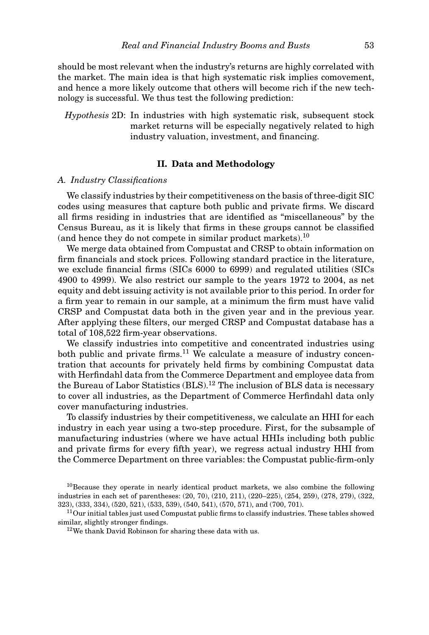should be most relevant when the industry's returns are highly correlated with the market. The main idea is that high systematic risk implies comovement, and hence a more likely outcome that others will become rich if the new technology is successful. We thus test the following prediction:

*Hypothesis* 2D: In industries with high systematic risk, subsequent stock market returns will be especially negatively related to high industry valuation, investment, and financing.

### **II. Data and Methodology**

### *A. Industry Classifications*

We classify industries by their competitiveness on the basis of three-digit SIC codes using measures that capture both public and private firms. We discard all firms residing in industries that are identified as "miscellaneous" by the Census Bureau, as it is likely that firms in these groups cannot be classified (and hence they do not compete in similar product markets). $^{10}$ 

We merge data obtained from Compustat and CRSP to obtain information on firm financials and stock prices. Following standard practice in the literature, we exclude financial firms (SICs 6000 to 6999) and regulated utilities (SICs 4900 to 4999). We also restrict our sample to the years 1972 to 2004, as net equity and debt issuing activity is not available prior to this period. In order for a firm year to remain in our sample, at a minimum the firm must have valid CRSP and Compustat data both in the given year and in the previous year. After applying these filters, our merged CRSP and Compustat database has a total of 108,522 firm-year observations.

We classify industries into competitive and concentrated industries using both public and private firms.<sup>11</sup> We calculate a measure of industry concentration that accounts for privately held firms by combining Compustat data with Herfindahl data from the Commerce Department and employee data from the Bureau of Labor Statistics  $(BLS)$ .<sup>12</sup> The inclusion of BLS data is necessary to cover all industries, as the Department of Commerce Herfindahl data only cover manufacturing industries.

To classify industries by their competitiveness, we calculate an HHI for each industry in each year using a two-step procedure. First, for the subsample of manufacturing industries (where we have actual HHIs including both public and private firms for every fifth year), we regress actual industry HHI from the Commerce Department on three variables: the Compustat public-firm-only

 $10$ Because they operate in nearly identical product markets, we also combine the following industries in each set of parentheses: (20, 70), (210, 211), (220–225), (254, 259), (278, 279), (322, 323), (333, 334), (520, 521), (533, 539), (540, 541), (570, 571), and (700, 701).

<sup>11</sup>Our initial tables just used Compustat public firms to classify industries. These tables showed similar, slightly stronger findings.

<sup>12</sup>We thank David Robinson for sharing these data with us.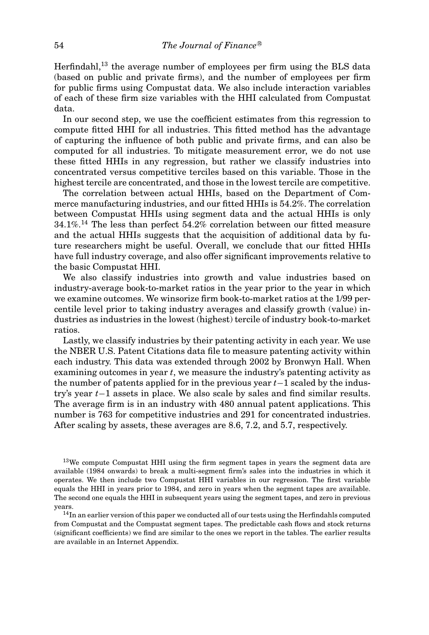Herfindahl, $13$  the average number of employees per firm using the BLS data (based on public and private firms), and the number of employees per firm for public firms using Compustat data. We also include interaction variables of each of these firm size variables with the HHI calculated from Compustat data.

In our second step, we use the coefficient estimates from this regression to compute fitted HHI for all industries. This fitted method has the advantage of capturing the influence of both public and private firms, and can also be computed for all industries. To mitigate measurement error, we do not use these fitted HHIs in any regression, but rather we classify industries into concentrated versus competitive terciles based on this variable. Those in the highest tercile are concentrated, and those in the lowest tercile are competitive.

The correlation between actual HHIs, based on the Department of Commerce manufacturing industries, and our fitted HHIs is 54.2%. The correlation between Compustat HHIs using segment data and the actual HHIs is only 34.1%.<sup>14</sup> The less than perfect 54.2% correlation between our fitted measure and the actual HHIs suggests that the acquisition of additional data by future researchers might be useful. Overall, we conclude that our fitted HHIs have full industry coverage, and also offer significant improvements relative to the basic Compustat HHI.

We also classify industries into growth and value industries based on industry-average book-to-market ratios in the year prior to the year in which we examine outcomes. We winsorize firm book-to-market ratios at the 1/99 percentile level prior to taking industry averages and classify growth (value) industries as industries in the lowest (highest) tercile of industry book-to-market ratios.

Lastly, we classify industries by their patenting activity in each year. We use the NBER U.S. Patent Citations data file to measure patenting activity within each industry. This data was extended through 2002 by Bronwyn Hall. When examining outcomes in year *t*, we measure the industry's patenting activity as the number of patents applied for in the previous year *t*−1 scaled by the industry's year *t*−1 assets in place. We also scale by sales and find similar results. The average firm is in an industry with 480 annual patent applications. This number is 763 for competitive industries and 291 for concentrated industries. After scaling by assets, these averages are 8.6, 7.2, and 5.7, respectively.

<sup>13</sup>We compute Compustat HHI using the firm segment tapes in years the segment data are available (1984 onwards) to break a multi-segment firm's sales into the industries in which it operates. We then include two Compustat HHI variables in our regression. The first variable equals the HHI in years prior to 1984, and zero in years when the segment tapes are available. The second one equals the HHI in subsequent years using the segment tapes, and zero in previous years.

<sup>14</sup>In an earlier version of this paper we conducted all of our tests using the Herfindahls computed from Compustat and the Compustat segment tapes. The predictable cash flows and stock returns (significant coefficients) we find are similar to the ones we report in the tables. The earlier results are available in an Internet Appendix.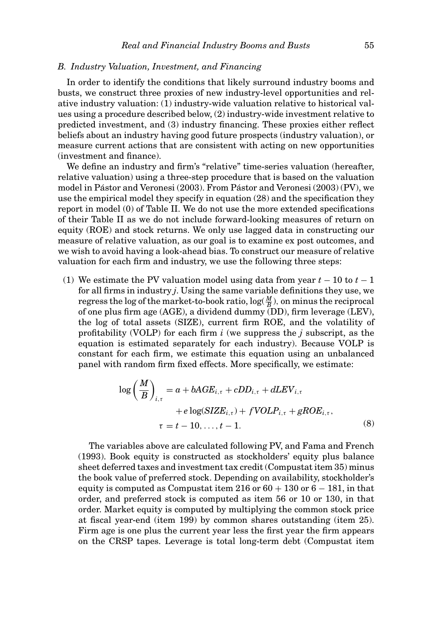### *B. Industry Valuation, Investment, and Financing*

In order to identify the conditions that likely surround industry booms and busts, we construct three proxies of new industry-level opportunities and relative industry valuation: (1) industry-wide valuation relative to historical values using a procedure described below, (2) industry-wide investment relative to predicted investment, and (3) industry financing. These proxies either reflect beliefs about an industry having good future prospects (industry valuation), or measure current actions that are consistent with acting on new opportunities (investment and finance).

We define an industry and firm's "relative" time-series valuation (hereafter, relative valuation) using a three-step procedure that is based on the valuation model in Pástor and Veronesi (2003). From Pástor and Veronesi (2003) (PV), we use the empirical model they specify in equation (28) and the specification they report in model (0) of Table II. We do not use the more extended specifications of their Table II as we do not include forward-looking measures of return on equity (ROE) and stock returns. We only use lagged data in constructing our measure of relative valuation, as our goal is to examine ex post outcomes, and we wish to avoid having a look-ahead bias. To construct our measure of relative valuation for each firm and industry, we use the following three steps:

(1) We estimate the PV valuation model using data from year  $t - 10$  to  $t - 1$ for all firms in industry *j*. Using the same variable definitions they use, we regress the log of the market-to-book ratio,  $\log(\frac{M}{B})$ , on minus the reciprocal of one plus firm age (AGE), a dividend dummy  $\overline{(DD)}$ , firm leverage (LEV), the log of total assets (SIZE), current firm ROE, and the volatility of profitability (VOLP) for each firm *i* (we suppress the *j* subscript, as the equation is estimated separately for each industry). Because VOLP is constant for each firm, we estimate this equation using an unbalanced panel with random firm fixed effects. More specifically, we estimate:

$$
\log\left(\frac{M}{B}\right)_{i,\tau} = a + bAGE_{i,\tau} + cDD_{i,\tau} + dLEV_{i,\tau}
$$

$$
+ e \log(SIZE_{i,\tau}) + fVOLP_{i,\tau} + gROE_{i,\tau},
$$

$$
\tau = t - 10, \dots, t - 1.
$$
(8)

The variables above are calculated following PV, and Fama and French (1993). Book equity is constructed as stockholders' equity plus balance sheet deferred taxes and investment tax credit (Compustat item 35) minus the book value of preferred stock. Depending on availability, stockholder's equity is computed as Compustat item 216 or  $60 + 130$  or  $6 - 181$ , in that order, and preferred stock is computed as item 56 or 10 or 130, in that order. Market equity is computed by multiplying the common stock price at fiscal year-end (item 199) by common shares outstanding (item 25). Firm age is one plus the current year less the first year the firm appears on the CRSP tapes. Leverage is total long-term debt (Compustat item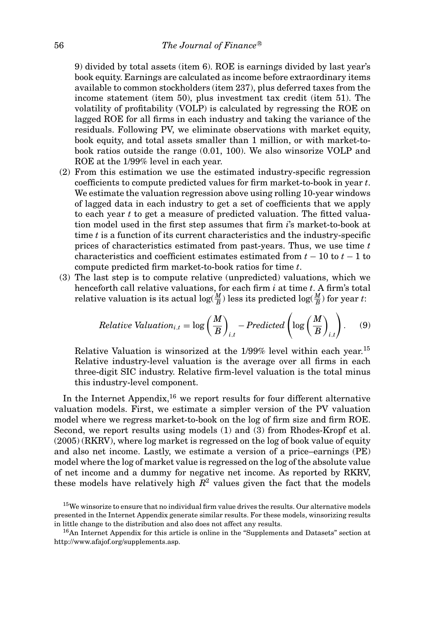9) divided by total assets (item 6). ROE is earnings divided by last year's book equity. Earnings are calculated as income before extraordinary items available to common stockholders (item 237), plus deferred taxes from the income statement (item 50), plus investment tax credit (item 51). The volatility of profitability (VOLP) is calculated by regressing the ROE on lagged ROE for all firms in each industry and taking the variance of the residuals. Following PV, we eliminate observations with market equity, book equity, and total assets smaller than 1 million, or with market-tobook ratios outside the range (0.01, 100). We also winsorize VOLP and ROE at the 1/99% level in each year.

- (2) From this estimation we use the estimated industry-specific regression coefficients to compute predicted values for firm market-to-book in year *t*. We estimate the valuation regression above using rolling 10-year windows of lagged data in each industry to get a set of coefficients that we apply to each year *t* to get a measure of predicted valuation. The fitted valuation model used in the first step assumes that firm *i*'s market-to-book at time *t* is a function of its current characteristics and the industry-specific prices of characteristics estimated from past-years. Thus, we use time *t* characteristics and coefficient estimates estimated from *t* − 10 to *t* − 1 to compute predicted firm market-to-book ratios for time *t*.
- (3) The last step is to compute relative (unpredicted) valuations, which we henceforth call relative valuations, for each firm *i* at time *t*. A firm's total relative valuation is its actual log( $\frac{M}{B}$ ) less its predicted log( $\frac{M}{B}$ ) for year *t*:

$$
Relative~Valuation_{i,t} = \log\left(\frac{M}{B}\right)_{i,t} - Predicted\left(\log\left(\frac{M}{B}\right)_{i,t}\right). \tag{9}
$$

Relative Valuation is winsorized at the 1/99% level within each year.<sup>15</sup> Relative industry-level valuation is the average over all firms in each three-digit SIC industry. Relative firm-level valuation is the total minus this industry-level component.

In the Internet Appendix, $^{16}$  we report results for four different alternative valuation models. First, we estimate a simpler version of the PV valuation model where we regress market-to-book on the log of firm size and firm ROE. Second, we report results using models (1) and (3) from Rhodes-Kropf et al. (2005) (RKRV), where log market is regressed on the log of book value of equity and also net income. Lastly, we estimate a version of a price–earnings (PE) model where the log of market value is regressed on the log of the absolute value of net income and a dummy for negative net income. As reported by RKRV, these models have relatively high  $R^2$  values given the fact that the models

<sup>&</sup>lt;sup>15</sup>We winsorize to ensure that no individual firm value drives the results. Our alternative models presented in the Internet Appendix generate similar results. For these models, winsorizing results in little change to the distribution and also does not affect any results.

<sup>16</sup>An Internet Appendix for this article is online in the "Supplements and Datasets" section at http://www.afajof.org/supplements.asp.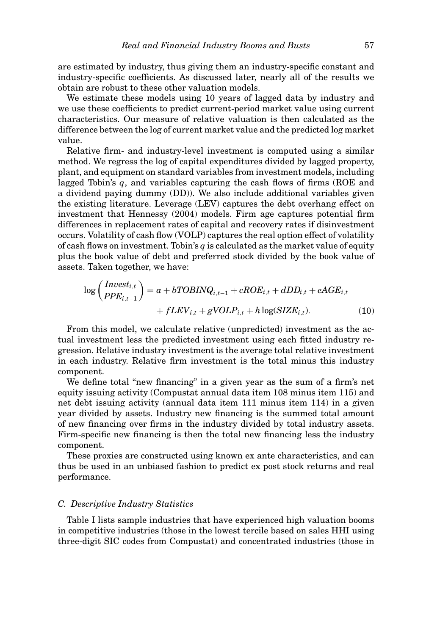are estimated by industry, thus giving them an industry-specific constant and industry-specific coefficients. As discussed later, nearly all of the results we obtain are robust to these other valuation models.

We estimate these models using 10 years of lagged data by industry and we use these coefficients to predict current-period market value using current characteristics. Our measure of relative valuation is then calculated as the difference between the log of current market value and the predicted log market value.

Relative firm- and industry-level investment is computed using a similar method. We regress the log of capital expenditures divided by lagged property, plant, and equipment on standard variables from investment models, including lagged Tobin's *q*, and variables capturing the cash flows of firms (ROE and a dividend paying dummy (DD)). We also include additional variables given the existing literature. Leverage (LEV) captures the debt overhang effect on investment that Hennessy (2004) models. Firm age captures potential firm differences in replacement rates of capital and recovery rates if disinvestment occurs. Volatility of cash flow (VOLP) captures the real option effect of volatility of cash flows on investment. Tobin's *q* is calculated as the market value of equity plus the book value of debt and preferred stock divided by the book value of assets. Taken together, we have:

$$
\log\left(\frac{Invest_{i,t}}{PPE_{i,t-1}}\right) = a + bTOBINQ_{i,t-1} + cROE_{i,t} + dDD_{i,t} + eAGE_{i,t} + fLEV_{i,t} + gVOLP_{i,t} + h\log(SIZE_{i,t}).
$$
\n(10)

From this model, we calculate relative (unpredicted) investment as the actual investment less the predicted investment using each fitted industry regression. Relative industry investment is the average total relative investment in each industry. Relative firm investment is the total minus this industry component.

We define total "new financing" in a given year as the sum of a firm's net equity issuing activity (Compustat annual data item 108 minus item 115) and net debt issuing activity (annual data item 111 minus item 114) in a given year divided by assets. Industry new financing is the summed total amount of new financing over firms in the industry divided by total industry assets. Firm-specific new financing is then the total new financing less the industry component.

These proxies are constructed using known ex ante characteristics, and can thus be used in an unbiased fashion to predict ex post stock returns and real performance.

### *C. Descriptive Industry Statistics*

Table I lists sample industries that have experienced high valuation booms in competitive industries (those in the lowest tercile based on sales HHI using three-digit SIC codes from Compustat) and concentrated industries (those in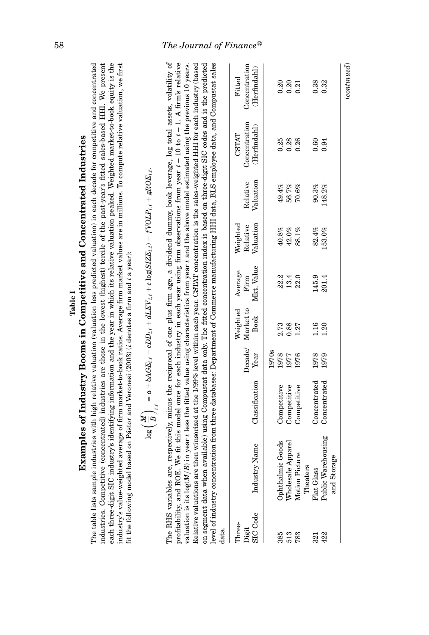|                             |                                                                                                                                                                                                                                                                                                                                                                                                                                                                                                                                                                                                                                                                                                                                                                                                      | Examples of Industry Booms in Competitive and Concentrated Industries                                                                 |                            |                               | Table I                       |                                   |                       |                                        |                                         |
|-----------------------------|------------------------------------------------------------------------------------------------------------------------------------------------------------------------------------------------------------------------------------------------------------------------------------------------------------------------------------------------------------------------------------------------------------------------------------------------------------------------------------------------------------------------------------------------------------------------------------------------------------------------------------------------------------------------------------------------------------------------------------------------------------------------------------------------------|---------------------------------------------------------------------------------------------------------------------------------------|----------------------------|-------------------------------|-------------------------------|-----------------------------------|-----------------------|----------------------------------------|-----------------------------------------|
|                             | each three-digit SIC industry's identifying information and the year in which its relative valuation peaked. Weighted market-to-book equity is the<br>industry's value-weighted average of firm market-to-book ratios. Average firm market values are in millions. To compute relative valuation, we first<br>industries. Competitive (concentrated) industries are those in the lowest (highest) tercile of the past-year's fitted sales-based HHI. We present<br>fit the following model based on Pástor and Veronesi (2003) (i denotes a firm and t a year):<br>The table lists sample indu                                                                                                                                                                                                       | stries with high relative valuation (valuation less predicted valuation) in each decade for competitive and concentrated              |                            |                               |                               |                                   |                       |                                        |                                         |
|                             |                                                                                                                                                                                                                                                                                                                                                                                                                                                                                                                                                                                                                                                                                                                                                                                                      | $\log\left(\frac{M}{B}\right)_{i,t} = a + bAGE_{i,t} + cDD_{i,t} + dLEV_{i,t} + e\log(\text{SIZE}_{i,t}) + fVOLP_{i,t} + gROE_{i,t}.$ |                            |                               |                               |                                   |                       |                                        |                                         |
| data.                       | The RHS variables are, respectively, minus the reciprocal of one plus firm age, a dividend dummy, book leverage, log total assets, volatility of<br>profitability, and ROE. We fit this model once for each industry in each year using firm observations from year $t-10$ to $t-1$ . A firm's relative<br>level of industry concentration from three databases: Department of Commerce manufacturing HHI data, BLS employee data, and Compustat sales<br>Relative valuations are then winsorized at the 1/99% level within each year. CSTAT concentration is the sales-weighted HHI for each industry (based<br>on segment data when available) using Compustat data only. The fitted concentration index is based on three-digit SIC codes and is the predicted<br>valuation is its $\log(M/B)$ in | year t less the fitted value using characteristics from year t and the above model estimated using the previous 10 years.             |                            |                               |                               |                                   |                       |                                        |                                         |
| SIC Code<br>Three-<br>Digit | Industry Name                                                                                                                                                                                                                                                                                                                                                                                                                                                                                                                                                                                                                                                                                                                                                                                        | Classification                                                                                                                        | $\mathbf{Decade}'$<br>Year | Market to<br>Weighted<br>Book | Mkt. Value<br>Average<br>Firm | Weighted<br>Valuation<br>Relative | Valuation<br>Relative | Concentration<br>(Herfindahl)<br>CSTAT | Concentration<br>(Herfindahl)<br>Fitted |
|                             |                                                                                                                                                                                                                                                                                                                                                                                                                                                                                                                                                                                                                                                                                                                                                                                                      |                                                                                                                                       | 1970s                      |                               |                               |                                   |                       |                                        |                                         |
| 385<br>513                  | Ophthalmic Goods<br>Wholesale Apparel                                                                                                                                                                                                                                                                                                                                                                                                                                                                                                                                                                                                                                                                                                                                                                | Competitive<br>Competitive                                                                                                            | 1978<br>1977               | 2.73<br>0.88                  | 22.2<br>13.4                  | 40.8%<br>42.0%                    | 49.4%<br>56.7%        | 0.25<br>0.28                           | 0.20<br>0.20                            |
| 783                         | Motion Picture<br>Theaters                                                                                                                                                                                                                                                                                                                                                                                                                                                                                                                                                                                                                                                                                                                                                                           | Competitive                                                                                                                           | 1976                       | 1.27                          | $22.0$                        | 88.1%                             | 70.6%                 | 0.26                                   | 0.21                                    |
| 321                         | Flat Glass                                                                                                                                                                                                                                                                                                                                                                                                                                                                                                                                                                                                                                                                                                                                                                                           | Concentrated                                                                                                                          | 1978                       | 1.16                          | 145.9                         | 82.4%                             | 90.3%                 | 0.60                                   | 0.38                                    |
| 422                         | Public Warehousing<br>and Storage                                                                                                                                                                                                                                                                                                                                                                                                                                                                                                                                                                                                                                                                                                                                                                    | Concentrated                                                                                                                          | 1979                       | 1.20                          | 201.4                         | 153.0%                            | 148.2%                | 0.94                                   | 0.32                                    |
|                             |                                                                                                                                                                                                                                                                                                                                                                                                                                                                                                                                                                                                                                                                                                                                                                                                      |                                                                                                                                       |                            |                               |                               |                                   |                       |                                        | $_{(continued)}$                        |

### 58 *The Journal of Finance* R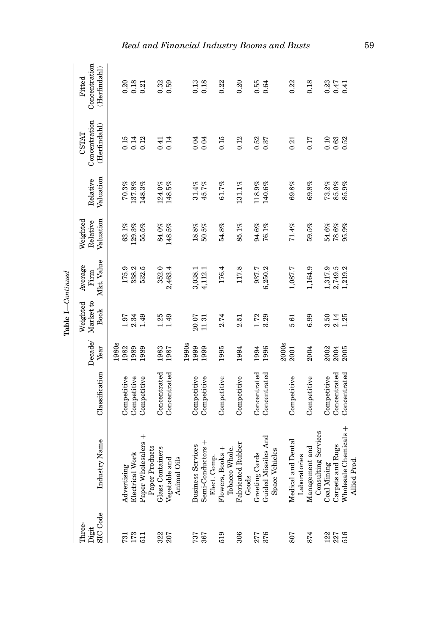|                                           |                                                   |                |                | Table 1—Continued                    |                               |                                   |                       |                                               |                                         |
|-------------------------------------------|---------------------------------------------------|----------------|----------------|--------------------------------------|-------------------------------|-----------------------------------|-----------------------|-----------------------------------------------|-----------------------------------------|
| SIC Code<br>Three-<br>Digit               | Industry Name                                     | Classification | Decade<br>Year | Market to<br>Weighted<br><b>Book</b> | Mkt. Value<br>Average<br>Firm | Valuation<br>Weighted<br>Relative | Valuation<br>Relative | Concentration<br>(Herfindahl)<br><b>CSTAT</b> | Concentration<br>(Herfindahl)<br>Fitted |
|                                           |                                                   |                | 1980s          |                                      |                               |                                   |                       |                                               |                                         |
| 731                                       | Advertising                                       | Competitive    | 1982           | 1.97                                 | 175.9                         | 63.1%                             | 70.3%                 | 0.15                                          | 0.20                                    |
|                                           | Electrical Work                                   | Competitive    | 1989           | 2.34                                 | 338.2                         | 129.3%                            | $137.8\%$             | $0.14$<br>$0.12$                              |                                         |
| $\begin{array}{c} 173 \\ 511 \end{array}$ | Paper Wholesalers +                               | Competitive    | 1989           | 1.49                                 | 532.5                         | 55.5%                             | 148.3%                |                                               | $\frac{0.18}{0.21}$                     |
|                                           | ıcts<br>Paper Produ                               |                |                |                                      |                               |                                   |                       |                                               |                                         |
| 322                                       | Glass Containers                                  | Concentrated   | 1983           | 1.25                                 | 352.0                         | 84.0%                             | $124.0\%$             | 0.41                                          | 0.32                                    |
| 207                                       | Animal Oils<br>Vegetable and                      | Concentrated   | 1987           | 1.49                                 | 2,463.4                       | 148.5%                            | $148.5\%$             | 0.14                                          | 0.59                                    |
|                                           |                                                   |                | 1990s          |                                      |                               |                                   |                       |                                               |                                         |
| 737                                       | <b>Business Services</b>                          | Competitive    | 1999           | 20.07                                | 3,038.1                       | $18.8\%$                          | 31.4%                 | $0.04\,$                                      | 0.13                                    |
| 367                                       | $ -$<br>Semi-Conduct                              | Competitive    | 1999           | 11.31                                | 4,112.1                       | 50.5%                             | 45.7%                 | 0.04                                          | 0.18                                    |
|                                           | Elect. Comp                                       |                |                |                                      |                               |                                   |                       |                                               |                                         |
| 519                                       | Tobacco Whole.<br>Flowers, Books +                | Competitive    | 1995           | 2.74                                 | 176.4                         | 54.8%                             | 61.7%                 | 0.15                                          | 0.22                                    |
| 306                                       | Fabricated Rubber<br>Goods                        | Competitive    | 1994           | 2.51                                 | 117.8                         | 85.1%                             | 131.1%                | 0.12                                          | 0.20                                    |
| 277                                       | Greeting Cards                                    | Concentrated   | 1994           | 1.72                                 | 937.7                         | 94.6%                             | 118.9%                | 0.52                                          | 0.55                                    |
| 376                                       | $\operatorname{asAnd}$<br>Guided Missil           | Concentrated   | 1996           | 3.29                                 | 6,250.2                       | 76.1%                             | $140.6\%$             | 0.37                                          | 0.64                                    |
|                                           | les<br>Space Vehic                                |                |                |                                      |                               |                                   |                       |                                               |                                         |
|                                           |                                                   |                | 2000s          |                                      |                               |                                   |                       |                                               |                                         |
| 807                                       | ental<br>Laboratories<br>Medical and D            | Competitive    | 2001           | 5.61                                 | 1,087.7                       | 71.4%                             | $69.8\%$              | 0.21                                          | 0.22                                    |
| 874                                       | <b>Consulting Services</b><br>hug<br>Management a | Competitive    | 2004           | 6.99                                 | 1,164.9                       | 59.5%                             | 69.8%                 | 0.17                                          | 0.18                                    |
| 122                                       | Coal Mining                                       | Competitive    | 2002           | 3.50                                 | 1,317.9                       | 54.6%                             | 73.2%                 | 0.10                                          | 0.23                                    |
| 227                                       | Carpets and Rugs                                  | Concentrated   | 2004           | 2.14                                 | 2,749.5                       | $78.6\%$                          | 85.0%                 | $\!0.63\!$                                    | 0.47                                    |
| 516                                       | Wholesale Chemicals +<br>Allied Prod.             | Concentrated   | 2005           | 1.25                                 | 1,219.2                       | $95.9\%$                          | 85.9%                 | 0.52                                          | 0.41                                    |

### *Real and Financial Industry Booms and Busts* 59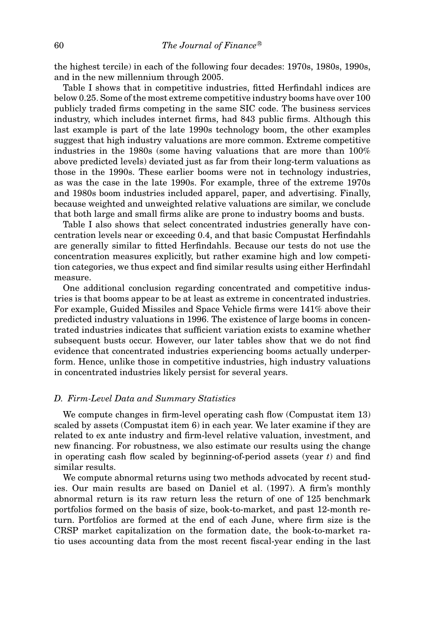the highest tercile) in each of the following four decades: 1970s, 1980s, 1990s, and in the new millennium through 2005.

Table I shows that in competitive industries, fitted Herfindahl indices are below 0.25. Some of the most extreme competitive industry booms have over 100 publicly traded firms competing in the same SIC code. The business services industry, which includes internet firms, had 843 public firms. Although this last example is part of the late 1990s technology boom, the other examples suggest that high industry valuations are more common. Extreme competitive industries in the 1980s (some having valuations that are more than 100% above predicted levels) deviated just as far from their long-term valuations as those in the 1990s. These earlier booms were not in technology industries, as was the case in the late 1990s. For example, three of the extreme 1970s and 1980s boom industries included apparel, paper, and advertising. Finally, because weighted and unweighted relative valuations are similar, we conclude that both large and small firms alike are prone to industry booms and busts.

Table I also shows that select concentrated industries generally have concentration levels near or exceeding 0.4, and that basic Compustat Herfindahls are generally similar to fitted Herfindahls. Because our tests do not use the concentration measures explicitly, but rather examine high and low competition categories, we thus expect and find similar results using either Herfindahl measure.

One additional conclusion regarding concentrated and competitive industries is that booms appear to be at least as extreme in concentrated industries. For example, Guided Missiles and Space Vehicle firms were 141% above their predicted industry valuations in 1996. The existence of large booms in concentrated industries indicates that sufficient variation exists to examine whether subsequent busts occur. However, our later tables show that we do not find evidence that concentrated industries experiencing booms actually underperform. Hence, unlike those in competitive industries, high industry valuations in concentrated industries likely persist for several years.

### *D. Firm-Level Data and Summary Statistics*

We compute changes in firm-level operating cash flow (Compustat item 13) scaled by assets (Compustat item 6) in each year. We later examine if they are related to ex ante industry and firm-level relative valuation, investment, and new financing. For robustness, we also estimate our results using the change in operating cash flow scaled by beginning-of-period assets (year *t*) and find similar results.

We compute abnormal returns using two methods advocated by recent studies. Our main results are based on Daniel et al. (1997). A firm's monthly abnormal return is its raw return less the return of one of 125 benchmark portfolios formed on the basis of size, book-to-market, and past 12-month return. Portfolios are formed at the end of each June, where firm size is the CRSP market capitalization on the formation date, the book-to-market ratio uses accounting data from the most recent fiscal-year ending in the last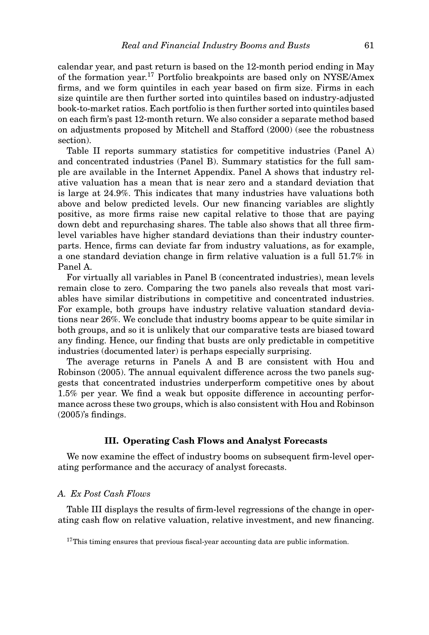calendar year, and past return is based on the 12-month period ending in May of the formation year.<sup>17</sup> Portfolio breakpoints are based only on NYSE/Amex firms, and we form quintiles in each year based on firm size. Firms in each size quintile are then further sorted into quintiles based on industry-adjusted book-to-market ratios. Each portfolio is then further sorted into quintiles based on each firm's past 12-month return. We also consider a separate method based on adjustments proposed by Mitchell and Stafford (2000) (see the robustness section).

Table II reports summary statistics for competitive industries (Panel A) and concentrated industries (Panel B). Summary statistics for the full sample are available in the Internet Appendix. Panel A shows that industry relative valuation has a mean that is near zero and a standard deviation that is large at 24.9%. This indicates that many industries have valuations both above and below predicted levels. Our new financing variables are slightly positive, as more firms raise new capital relative to those that are paying down debt and repurchasing shares. The table also shows that all three firmlevel variables have higher standard deviations than their industry counterparts. Hence, firms can deviate far from industry valuations, as for example, a one standard deviation change in firm relative valuation is a full 51.7% in Panel A.

For virtually all variables in Panel B (concentrated industries), mean levels remain close to zero. Comparing the two panels also reveals that most variables have similar distributions in competitive and concentrated industries. For example, both groups have industry relative valuation standard deviations near 26%. We conclude that industry booms appear to be quite similar in both groups, and so it is unlikely that our comparative tests are biased toward any finding. Hence, our finding that busts are only predictable in competitive industries (documented later) is perhaps especially surprising.

The average returns in Panels A and B are consistent with Hou and Robinson (2005). The annual equivalent difference across the two panels suggests that concentrated industries underperform competitive ones by about 1.5% per year. We find a weak but opposite difference in accounting performance across these two groups, which is also consistent with Hou and Robinson  $(2005)$ 's findings.

### **III. Operating Cash Flows and Analyst Forecasts**

We now examine the effect of industry booms on subsequent firm-level operating performance and the accuracy of analyst forecasts.

### *A. Ex Post Cash Flows*

Table III displays the results of firm-level regressions of the change in operating cash flow on relative valuation, relative investment, and new financing.

 $17$ This timing ensures that previous fiscal-year accounting data are public information.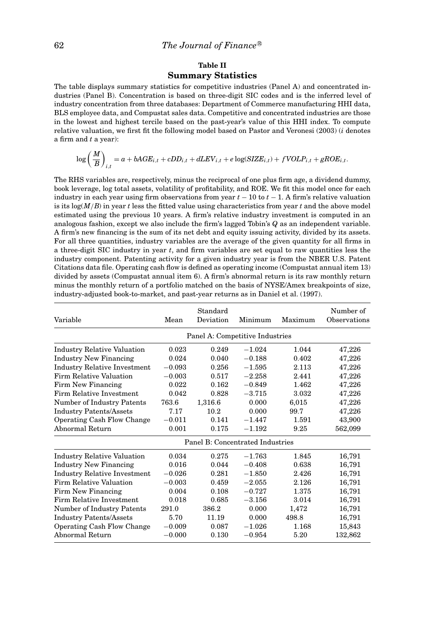### **Table II Summary Statistics**

The table displays summary statistics for competitive industries (Panel A) and concentrated industries (Panel B). Concentration is based on three-digit SIC codes and is the inferred level of industry concentration from three databases: Department of Commerce manufacturing HHI data, BLS employee data, and Compustat sales data. Competitive and concentrated industries are those in the lowest and highest tercile based on the past-year's value of this HHI index. To compute relative valuation, we first fit the following model based on Pastor and Veronesi (2003) (*i* denotes a firm and *t* a year):

$$
\log\left(\frac{M}{B}\right)_{i,t} = a + bAGE_{i,t} + cDD_{i,t} + dLEV_{i,t} + e\log(SIZE_{i,t}) + fVOLP_{i,t} + gROE_{i,t}.
$$

The RHS variables are, respectively, minus the reciprocal of one plus firm age, a dividend dummy, book leverage, log total assets, volatility of profitability, and ROE. We fit this model once for each industry in each year using firm observations from year *t* − 10 to *t* − 1. A firm's relative valuation is its  $log(M/B)$  in year *t* less the fitted value using characteristics from year *t* and the above model estimated using the previous 10 years. A firm's relative industry investment is computed in an analogous fashion, except we also include the firm's lagged Tobin's *Q* as an independent variable. A firm's new financing is the sum of its net debt and equity issuing activity, divided by its assets. For all three quantities, industry variables are the average of the given quantity for all firms in a three-digit SIC industry in year *t*, and firm variables are set equal to raw quantities less the industry component. Patenting activity for a given industry year is from the NBER U.S. Patent Citations data file. Operating cash flow is defined as operating income (Compustat annual item 13) divided by assets (Compustat annual item 6). A firm's abnormal return is its raw monthly return minus the monthly return of a portfolio matched on the basis of NYSE/Amex breakpoints of size, industry-adjusted book-to-market, and past-year returns as in Daniel et al. (1997).

| Variable                            | Mean     | Standard<br>Deviation | Minimum                          | Maximum | Number of<br>Observations |
|-------------------------------------|----------|-----------------------|----------------------------------|---------|---------------------------|
|                                     |          |                       | Panel A: Competitive Industries  |         |                           |
| <b>Industry Relative Valuation</b>  | 0.023    | 0.249                 | $-1.024$                         | 1.044   | 47,226                    |
| <b>Industry New Financing</b>       | 0.024    | 0.040                 | $-0.188$                         | 0.402   | 47,226                    |
| <b>Industry Relative Investment</b> | $-0.093$ | 0.256                 | $-1.595$                         | 2.113   | 47,226                    |
| Firm Relative Valuation             | $-0.003$ | 0.517                 | $-2.258$                         | 2.441   | 47,226                    |
| Firm New Financing                  | 0.022    | 0.162                 | $-0.849$                         | 1.462   | 47,226                    |
| Firm Relative Investment            | 0.042    | 0.828                 | $-3.715$                         | 3.032   | 47,226                    |
| Number of Industry Patents          | 763.6    | 1.316.6               | 0.000                            | 6,015   | 47,226                    |
| <b>Industry Patents/Assets</b>      | 7.17     | 10.2                  | 0.000                            | 99.7    | 47,226                    |
| Operating Cash Flow Change          | $-0.011$ | 0.141                 | $-1.447$                         | 1.591   | 43,900                    |
| Abnormal Return                     | 0.001    | 0.175                 | $-1.192$                         | 9.25    | 562,099                   |
|                                     |          |                       | Panel B: Concentrated Industries |         |                           |
| <b>Industry Relative Valuation</b>  | 0.034    | 0.275                 | $-1.763$                         | 1.845   | 16,791                    |
| <b>Industry New Financing</b>       | 0.016    | 0.044                 | $-0.408$                         | 0.638   | 16,791                    |
| <b>Industry Relative Investment</b> | $-0.026$ | 0.281                 | $-1.850$                         | 2.426   | 16,791                    |
| Firm Relative Valuation             | $-0.003$ | 0.459                 | $-2.055$                         | 2.126   | 16,791                    |
| Firm New Financing                  | 0.004    | 0.108                 | $-0.727$                         | 1.375   | 16,791                    |
| Firm Relative Investment            | 0.018    | 0.685                 | $-3.156$                         | 3.014   | 16,791                    |
| Number of Industry Patents          | 291.0    | 386.2                 | 0.000                            | 1,472   | 16,791                    |
| <b>Industry Patents/Assets</b>      | 5.70     | 11.19                 | 0.000                            | 498.8   | 16,791                    |
| Operating Cash Flow Change          | $-0.009$ | 0.087                 | $-1.026$                         | 1.168   | 15,843                    |
| Abnormal Return                     | $-0.000$ | 0.130                 | $-0.954$                         | 5.20    | 132,862                   |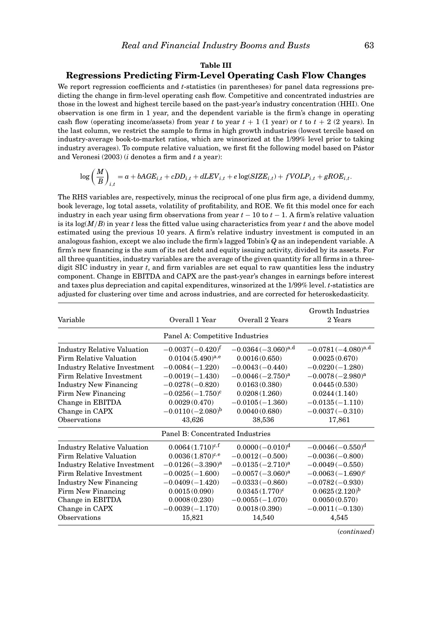### **Table III**

### **Regressions Predicting Firm-Level Operating Cash Flow Changes**

We report regression coefficients and *t*-statistics (in parentheses) for panel data regressions predicting the change in firm-level operating cash flow. Competitive and concentrated industries are those in the lowest and highest tercile based on the past-year's industry concentration (HHI). One observation is one firm in 1 year, and the dependent variable is the firm's change in operating cash flow (operating income/assets) from year  $t$  to year  $t + 1$  (1 year) or  $t$  to  $t + 2$  (2 years). In the last column, we restrict the sample to firms in high growth industries (lowest tercile based on industry-average book-to-market ratios, which are winsorized at the 1/99% level prior to taking industry averages). To compute relative valuation, we first fit the following model based on Pastor ´ and Veronesi (2003) (*i* denotes a firm and *t* a year):

$$
\log\left(\frac{M}{B}\right)_{i,t} = a + bAGE_{i,t} + cDD_{i,t} + dLEV_{i,t} + e\log(SIZE_{i,t}) + fVOLP_{i,t} + gROE_{i,t}.
$$

The RHS variables are, respectively, minus the reciprocal of one plus firm age, a dividend dummy, book leverage, log total assets, volatility of profitability, and ROE. We fit this model once for each industry in each year using firm observations from year *t* − 10 to *t* − 1. A firm's relative valuation is its log(*M*/*B*) in year *t* less the fitted value using characteristics from year *t* and the above model estimated using the previous 10 years. A firm's relative industry investment is computed in an analogous fashion, except we also include the firm's lagged Tobin's *Q* as an independent variable. A firm's new financing is the sum of its net debt and equity issuing activity, divided by its assets. For all three quantities, industry variables are the average of the given quantity for all firms in a threedigit SIC industry in year *t*, and firm variables are set equal to raw quantities less the industry component. Change in EBITDA and CAPX are the past-year's changes in earnings before interest and taxes plus depreciation and capital expenditures, winsorized at the 1/99% level. *t*-statistics are adjusted for clustering over time and across industries, and are corrected for heteroskedasticity.

| Variable                            | Overall 1 Year                   | Overall 2 Years         | Growth Industries<br>2 Years |
|-------------------------------------|----------------------------------|-------------------------|------------------------------|
|                                     | Panel A: Competitive Industries  |                         |                              |
| <b>Industry Relative Valuation</b>  | $-0.0037(-0.420)^f$              | $-0.0364(-3.060)^{a,d}$ | $-0.0781(-4.080)^{a,d}$      |
| Firm Relative Valuation             | $0.0104(5.490)^{a,e}$            | 0.0016(0.650)           | 0.0025(0.670)                |
| <b>Industry Relative Investment</b> | $-0.0084(-1.220)$                | $-0.0043(-0.440)$       | $-0.0220(-1.280)$            |
| Firm Relative Investment            | $-0.0019(-1.430)$                | $-0.0046(-2.750)^{a}$   | $-0.0078(-2.980)^{a}$        |
| <b>Industry New Financing</b>       | $-0.0278(-0.820)$                | 0.0163(0.380)           | 0.0445(0.530)                |
| Firm New Financing                  | $-0.0256(-1.750)^c$              | 0.0208(1.260)           | 0.0244(1.140)                |
| Change in EBITDA                    | 0.0029(0.470)                    | $-0.0105(-1.360)$       | $-0.0135(-1.110)$            |
| Change in CAPX                      | $-0.0110(-2.080)^{b}$            | 0.0040(0.680)           | $-0.0037(-0.310)$            |
| Observations                        | 43,626                           | 38,536                  | 17,861                       |
|                                     | Panel B: Concentrated Industries |                         |                              |
| <b>Industry Relative Valuation</b>  | $0.0064(1.710)^{c,f}$            | $0.0000(-0.010)d$       | $-0.0046(-0.550)d$           |
| Firm Relative Valuation             | $0.0036(1.870)^{c,e}$            | $-0.0012(-0.500)$       | $-0.0036(-0.800)$            |
| <b>Industry Relative Investment</b> | $-0.0126(-3.390)^{a}$            | $-0.0135(-2.710)^{a}$   | $-0.0049(-0.550)$            |
| Firm Relative Investment            | $-0.0025(-1.600)$                | $-0.0057(-3.060)a$      | $-0.0063(-1.690)^c$          |
| <b>Industry New Financing</b>       | $-0.0409(-1.420)$                | $-0.0333(-0.860)$       | $-0.0782(-0.930)$            |
| Firm New Financing                  | 0.0015(0.090)                    | $0.0345(1.770)^c$       | $0.0625(2.120)^b$            |
| Change in EBITDA                    | 0.0008(0.230)                    | $-0.0055(-1.070)$       | 0.0050(0.570)                |
| Change in CAPX                      | $-0.0039(-1.170)$                | 0.0018(0.390)           | $-0.0011(-0.130)$            |
| Observations                        | 15,821                           | 14,540                  | 4,545                        |

(*continued*)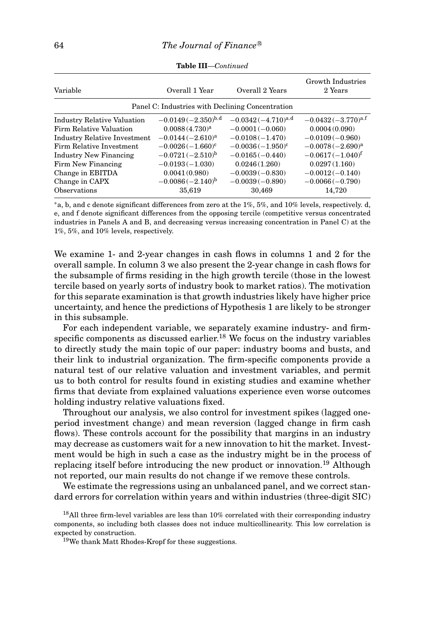| Variable                            | Overall 1 Year                                   | Overall 2 Years         | Growth Industries<br>2 Years |
|-------------------------------------|--------------------------------------------------|-------------------------|------------------------------|
|                                     | Panel C: Industries with Declining Concentration |                         |                              |
| <b>Industry Relative Valuation</b>  | $-0.0149(-2.350)^{b,d}$                          | $-0.0342(-4.710)^{a,d}$ | $-0.0432(-3.770)^{a,f}$      |
| Firm Relative Valuation             | 0.0088(4.730) <sup>a</sup>                       | $-0.0001(-0.060)$       | 0.0004(0.090)                |
| <b>Industry Relative Investment</b> | $-0.0144(-2.610)^{a}$                            | $-0.0108(-1.470)$       | $-0.0109(-0.960)$            |
| Firm Relative Investment            | $-0.0026(-1.660)^c$                              | $-0.0036(-1.950)^c$     | $-0.0078(-2.690)^{a}$        |
| <b>Industry New Financing</b>       | $-0.0721(-2.510)^{b}$                            | $-0.0165(-0.440)$       | $-0.0617(-1.040)^f$          |
| Firm New Financing                  | $-0.0193(-1.030)$                                | 0.0246(1.260)           | 0.0297(1.160)                |
| Change in EBITDA                    | 0.0041(0.980)                                    | $-0.0039(-0.830)$       | $-0.0012(-0.140)$            |
| Change in CAPX                      | $-0.0086(-2.140)^{b}$                            | $-0.0039(-0.890)$       | $-0.0066(-0.790)$            |
| Observations                        | 35,619                                           | 30,469                  | 14.720                       |

**Table III**—*Continued*

∗a, b, and c denote significant differences from zero at the 1%, 5%, and 10% levels, respectively. d, e, and f denote significant differences from the opposing tercile (competitive versus concentrated industries in Panels A and B, and decreasing versus increasing concentration in Panel C) at the 1%, 5%, and 10% levels, respectively.

We examine 1- and 2-year changes in cash flows in columns 1 and 2 for the overall sample. In column 3 we also present the 2-year change in cash flows for the subsample of firms residing in the high growth tercile (those in the lowest tercile based on yearly sorts of industry book to market ratios). The motivation for this separate examination is that growth industries likely have higher price uncertainty, and hence the predictions of Hypothesis 1 are likely to be stronger in this subsample.

For each independent variable, we separately examine industry- and firmspecific components as discussed earlier.<sup>18</sup> We focus on the industry variables to directly study the main topic of our paper: industry booms and busts, and their link to industrial organization. The firm-specific components provide a natural test of our relative valuation and investment variables, and permit us to both control for results found in existing studies and examine whether firms that deviate from explained valuations experience even worse outcomes holding industry relative valuations fixed.

Throughout our analysis, we also control for investment spikes (lagged oneperiod investment change) and mean reversion (lagged change in firm cash flows). These controls account for the possibility that margins in an industry may decrease as customers wait for a new innovation to hit the market. Investment would be high in such a case as the industry might be in the process of replacing itself before introducing the new product or innovation.<sup>19</sup> Although not reported, our main results do not change if we remove these controls.

We estimate the regressions using an unbalanced panel, and we correct standard errors for correlation within years and within industries (three-digit SIC)

 $18$ All three firm-level variables are less than  $10\%$  correlated with their corresponding industry components, so including both classes does not induce multicollinearity. This low correlation is expected by construction.

<sup>19</sup>We thank Matt Rhodes-Kropf for these suggestions.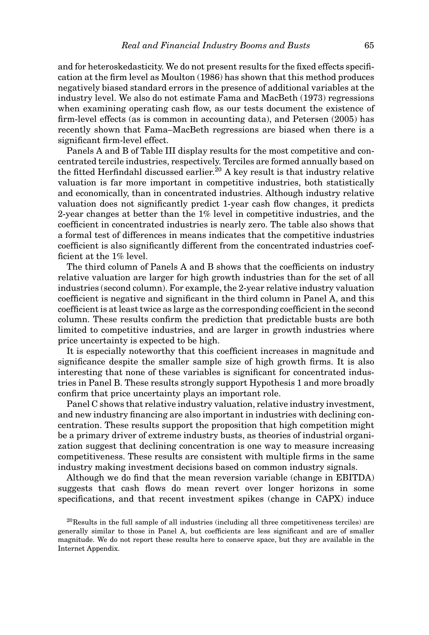and for heteroskedasticity. We do not present results for the fixed effects specification at the firm level as Moulton (1986) has shown that this method produces negatively biased standard errors in the presence of additional variables at the industry level. We also do not estimate Fama and MacBeth (1973) regressions when examining operating cash flow, as our tests document the existence of firm-level effects (as is common in accounting data), and Petersen (2005) has recently shown that Fama–MacBeth regressions are biased when there is a significant firm-level effect.

Panels A and B of Table III display results for the most competitive and concentrated tercile industries, respectively. Terciles are formed annually based on the fitted Herfindahl discussed earlier.<sup>20</sup> A key result is that industry relative valuation is far more important in competitive industries, both statistically and economically, than in concentrated industries. Although industry relative valuation does not significantly predict 1-year cash flow changes, it predicts 2-year changes at better than the 1% level in competitive industries, and the coefficient in concentrated industries is nearly zero. The table also shows that a formal test of differences in means indicates that the competitive industries coefficient is also significantly different from the concentrated industries coefficient at the 1% level.

The third column of Panels A and B shows that the coefficients on industry relative valuation are larger for high growth industries than for the set of all industries (second column). For example, the 2-year relative industry valuation coefficient is negative and significant in the third column in Panel A, and this coefficient is at least twice as large as the corresponding coefficient in the second column. These results confirm the prediction that predictable busts are both limited to competitive industries, and are larger in growth industries where price uncertainty is expected to be high.

It is especially noteworthy that this coefficient increases in magnitude and significance despite the smaller sample size of high growth firms. It is also interesting that none of these variables is significant for concentrated industries in Panel B. These results strongly support Hypothesis 1 and more broadly confirm that price uncertainty plays an important role.

Panel C shows that relative industry valuation, relative industry investment, and new industry financing are also important in industries with declining concentration. These results support the proposition that high competition might be a primary driver of extreme industry busts, as theories of industrial organization suggest that declining concentration is one way to measure increasing competitiveness. These results are consistent with multiple firms in the same industry making investment decisions based on common industry signals.

Although we do find that the mean reversion variable (change in EBITDA) suggests that cash flows do mean revert over longer horizons in some specifications, and that recent investment spikes (change in CAPX) induce

<sup>20</sup>Results in the full sample of all industries (including all three competitiveness terciles) are generally similar to those in Panel A, but coefficients are less significant and are of smaller magnitude. We do not report these results here to conserve space, but they are available in the Internet Appendix.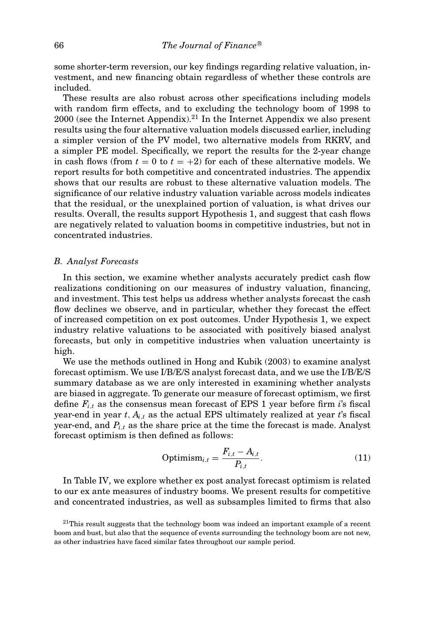some shorter-term reversion, our key findings regarding relative valuation, investment, and new financing obtain regardless of whether these controls are included.

These results are also robust across other specifications including models with random firm effects, and to excluding the technology boom of 1998 to  $2000$  (see the Internet Appendix).<sup>21</sup> In the Internet Appendix we also present results using the four alternative valuation models discussed earlier, including a simpler version of the PV model, two alternative models from RKRV, and a simpler PE model. Specifically, we report the results for the 2-year change in cash flows (from  $t = 0$  to  $t = +2$ ) for each of these alternative models. We report results for both competitive and concentrated industries. The appendix shows that our results are robust to these alternative valuation models. The significance of our relative industry valuation variable across models indicates that the residual, or the unexplained portion of valuation, is what drives our results. Overall, the results support Hypothesis 1, and suggest that cash flows are negatively related to valuation booms in competitive industries, but not in concentrated industries.

### *B. Analyst Forecasts*

In this section, we examine whether analysts accurately predict cash flow realizations conditioning on our measures of industry valuation, financing, and investment. This test helps us address whether analysts forecast the cash flow declines we observe, and in particular, whether they forecast the effect of increased competition on ex post outcomes. Under Hypothesis 1, we expect industry relative valuations to be associated with positively biased analyst forecasts, but only in competitive industries when valuation uncertainty is high.

We use the methods outlined in Hong and Kubik (2003) to examine analyst forecast optimism. We use I/B/E/S analyst forecast data, and we use the I/B/E/S summary database as we are only interested in examining whether analysts are biased in aggregate. To generate our measure of forecast optimism, we first define  $F_{i,t}$  as the consensus mean forecast of EPS 1 year before firm *i*'s fiscal year-end in year *t*, *Ai*,*<sup>t</sup>* as the actual EPS ultimately realized at year *t*'s fiscal year-end, and *Pi*,*<sup>t</sup>* as the share price at the time the forecast is made. Analyst forecast optimism is then defined as follows:

Optimism<sub>i,t</sub> = 
$$
\frac{F_{i,t} - A_{i,t}}{P_{i,t}}.
$$
 (11)

In Table IV, we explore whether ex post analyst forecast optimism is related to our ex ante measures of industry booms. We present results for competitive and concentrated industries, as well as subsamples limited to firms that also

 $21$ This result suggests that the technology boom was indeed an important example of a recent boom and bust, but also that the sequence of events surrounding the technology boom are not new, as other industries have faced similar fates throughout our sample period.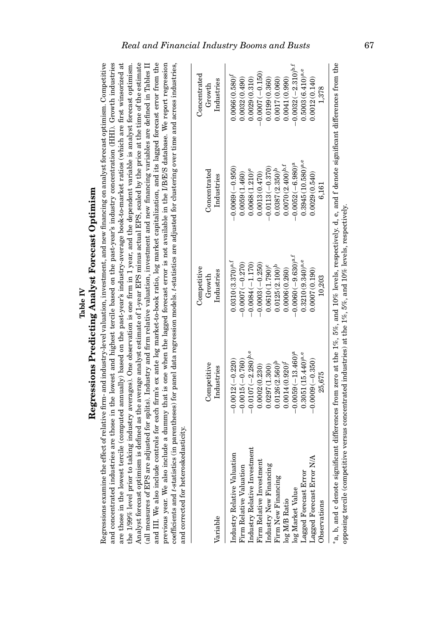| c |
|---|
|   |
|   |
|   |
|   |

## Regressions Predicting Analyst Forecast Optimism **Regressions Predicting Analyst Forecast Optimism**

Regressions examine the effect of relative firm- and industry-level valuation, investment, and new financing on analyst forecast optimism. Competitive and concentrated industries are those in the lowest and highest tercile based on the past-year's industry concentration (HHI). Growth industries are those in the lowest tercile (computed annually) based on the past-year's industry-average book-to-market ratios (which are first winsorized at Regressions examine the effect of relative firm- and industry-level valuation, investment, and new financing on analyst forecast optimism. Competitive and concentrated industries are those in the lowest and highest tercile based on the past-year's industry concentration (HHI). Growth industries are those in the lowest tercile (computed annually) based on the past-year's industry-average book-to-market ratios (which are first winsorized at Analyst forecast optimism is defined as the average analyst estimate of 1-year EPS minus actual EPS, scaled by the price at the time of the estimate Analyst forecast optimism is defined as the average analyst estimate of 1-year EPS minus actual EPS, scaled by the price at the time of the estimate (all measures of EPS are adjusted for splits). Industry and firm relative valuation, investment and new financing variables are defined in Tables II (all measures of EPS are adjusted for splits). Industry and firm relative valuation, investment and new financing variables are defined in Tables II and III. We also include controls for each firm's ex ante log market-to-book ratio, log market capitalization, and its lagged forecast error from the and III. We also include controls for each firm's ex ante log market-to-book ratio, log market capitalization, and its lagged forecast error from the previous year. We also include a dummy that is one when the lagged forecast error is not available in the L/B/E/S database. We report regression previous year. We also include a dummy that is one when the lagged forecast error is not available in the I/B/E/S database. We report regression coefficients and *t*-statistics (in parentheses) for panel data regression models. *t*-statistics are adjusted for clustering over time and across industries, the 1/99% level prior to taking industry averages). One observation is one firm in 1 year, and the dependent variable is analyst forecast optimism. the 1/99% level prior to taking industry averages). One observation is one firm in 1 year, and the dependent variable is analyst forecast optimism. coefficients and t-statistics (in parentheses) for panel data regression models. t-statistics are adjusted for clustering over time and across industries, and corrected for heteroskedasticity. and corrected for heteroskedasticity.

| <i>lariable</i>                                       | Competitive<br>Industries              | <b>Competitive</b><br>Industries<br>Growth | Concentrated<br>Industries         | Concentrated<br>Industries<br>Growth |
|-------------------------------------------------------|----------------------------------------|--------------------------------------------|------------------------------------|--------------------------------------|
| ndustry Relative Valuation<br>Firm Relative Valuation | $-0.0015(-0.760)$<br>$-0.0012(-0.220)$ | $0.0310(3.370)^{a,f}$<br>$0.0007(-0.270)$  | $-0.0069(-0.950)$<br>0.0059(1.460) | $0.0066(0.580)^4$<br>0.0032(0.490)   |
| hent<br>Industry Relative Investm                     | $-0.0107(-2.280)$ <sup>p.e</sup>       | $-0.0084(-1.170$                           | $0.0068(1.210)$ <sup>e</sup>       | 0.0029(0.310)                        |
| Firm Relative Investment                              | 0.0002(0.230)                          | $-0.0003(-0.250)$                          | 0.0013(0.470)                      | $0.0007(-0.150)$                     |
| industry New Financing                                | 0.0297(1.300)                          | $0.0610(1.790)^c$                          | $0.0113(-0.370)$                   | 0.0199(0.360)                        |
| Firm New Financing                                    | $0.0126(2.560)^b$                      | $0.0125(2.100)^b$                          | $0.0387(2.350)^b$                  | 0.0017(0.060)                        |
| log M/B Ratio                                         | $0.0014(0.920)^t$                      | 0.0006(0.260)                              | $0.0070(2.400)^{b.f}$              | 0.0041(0.990)                        |
| log Market Value                                      | $-0.0059(-13.460)a$                    | $(0.0060(-9.630)^{a,f}$                    | $0.0052(-6.980)^a$                 | $0.0032(-2.310)^{b.1}$               |
| agged Forecast Error                                  | $0.3051(15.440)^{a,e}$                 | $0.3210(9.340)^{a.e}$                      | $0.3945(10.580)^{a,e}$             | $0.5003(6.410)^{a,e}$                |
| agged Forecast Error N/A                              | $-0.0009(-0.350)$                      | 0.0007(0.190)                              | 0.0029(0.540)                      | 0.0012(0.140)                        |
| <b>Jbservations</b>                                   | 25.675                                 | 10,203                                     | 6,161                              | 1.378                                |
|                                                       |                                        |                                            |                                    |                                      |

a, b, and c denote significant differences from zero at the  $1\%$ ,  $5\%$ , and  $10\%$  levels, respectively. d, e, and f denote significant differences from the ∗a, b, and c denote significant differences from zero at the 1%, 5%, and 10% levels, respectively. d, e, and f denote significant differences from the opposing tercile (competitive versus concentrated industries) at the  $1\%$ ,  $5\%$ , and  $10\%$  levels, respectively. opposing tercile (competitive versus concentrated industries) at the  $1\%, 5\%,$  and  $10\%$  levels, respectively.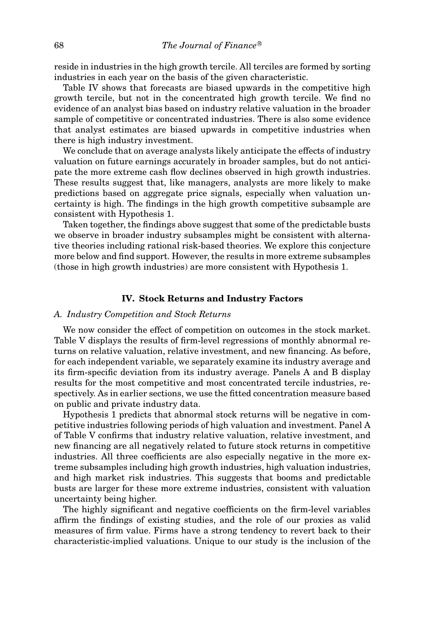reside in industries in the high growth tercile. All terciles are formed by sorting industries in each year on the basis of the given characteristic.

Table IV shows that forecasts are biased upwards in the competitive high growth tercile, but not in the concentrated high growth tercile. We find no evidence of an analyst bias based on industry relative valuation in the broader sample of competitive or concentrated industries. There is also some evidence that analyst estimates are biased upwards in competitive industries when there is high industry investment.

We conclude that on average analysts likely anticipate the effects of industry valuation on future earnings accurately in broader samples, but do not anticipate the more extreme cash flow declines observed in high growth industries. These results suggest that, like managers, analysts are more likely to make predictions based on aggregate price signals, especially when valuation uncertainty is high. The findings in the high growth competitive subsample are consistent with Hypothesis 1.

Taken together, the findings above suggest that some of the predictable busts we observe in broader industry subsamples might be consistent with alternative theories including rational risk-based theories. We explore this conjecture more below and find support. However, the results in more extreme subsamples (those in high growth industries) are more consistent with Hypothesis 1.

### **IV. Stock Returns and Industry Factors**

### *A. Industry Competition and Stock Returns*

We now consider the effect of competition on outcomes in the stock market. Table V displays the results of firm-level regressions of monthly abnormal returns on relative valuation, relative investment, and new financing. As before, for each independent variable, we separately examine its industry average and its firm-specific deviation from its industry average. Panels A and B display results for the most competitive and most concentrated tercile industries, respectively. As in earlier sections, we use the fitted concentration measure based on public and private industry data.

Hypothesis 1 predicts that abnormal stock returns will be negative in competitive industries following periods of high valuation and investment. Panel A of Table V confirms that industry relative valuation, relative investment, and new financing are all negatively related to future stock returns in competitive industries. All three coefficients are also especially negative in the more extreme subsamples including high growth industries, high valuation industries, and high market risk industries. This suggests that booms and predictable busts are larger for these more extreme industries, consistent with valuation uncertainty being higher.

The highly significant and negative coefficients on the firm-level variables affirm the findings of existing studies, and the role of our proxies as valid measures of firm value. Firms have a strong tendency to revert back to their characteristic-implied valuations. Unique to our study is the inclusion of the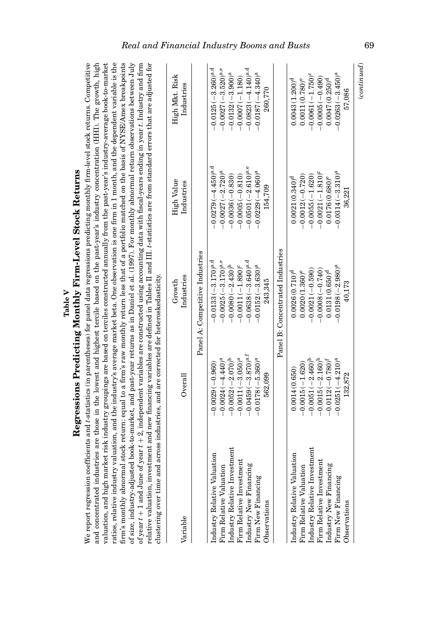|   | י<br>ים -<br>ا<br>ا<br>.<br>≀<br>Ú<br> <br> |
|---|---------------------------------------------|
| Ï |                                             |
|   | ļ                                           |
|   | į<br>I                                      |

ratios, relative industry valuation, and the industry's average market beta. One observation is one firm in 1 month, and the dependent variable is the firm's monthly abnormal stock return: equal to a firm's raw monthly return less that of a portfolio matched on the basis of NYSE/Amex breakpoints We report regression coefficients and  $t$ -statistics (in parentheses) for panel data regressions predicting monthly firm-level stock returns. Competitive We report regression coefficients and *t*-statistics (in parentheses) for panel data regressions predicting monthly firm-level stock returns. Competitive and concentrated industries are those in the lowest and highest tercile based on the past-year's industry concentration (HHI). The growth, high and concentrated industries are those in the lowest and highest tercile based on the past-year's industry concentration (HHI). The growth, high valuation, and high market risk industry groupings are based on terciles constructed annually from the past-year's industry-average book-to-market valuation, and high market risk industry groupings are based on terciles constructed annually from the past-year's industry-average book-to-market ratios, relative industry valuation, and the industry's average market beta. One observation is one firm in 1 month, and the dependent variable is the firm's monthly abnormal stock return: equal to a firm's raw monthly return less that of a portfolio matched on the basis of NYSE/Amex breakpoints of size, industry-adjusted book-to-market, and past-year returns as in Daniel et al. (1997). For monthly abnormal return observations between July of size, industry-adjusted book-to-market, and past-year returns as in Daniel et al. (1997). For monthly abnormal return observations between July of year *t* + 1 and June of year *t* + 2, independent variables are constructed using accounting data with fiscal-years ending in year *t*. Industry and firm of year  $t+1$  and June of year  $t+2$ , independent variables are constructed using accounting data with fiscal-years ending in year t. Industry and firm relative valuation, investment and new financing variables are defined in Tables II and III. *t*-statistics are from standard errors that are adjusted for

 $\mathbf r$ elative valuation, investment and new financing variables are defined in Tables II and III.  $t$ -statistics are from standard errors that are adjusted for

| clustering over time and across industries, and are corrected for heteroskedasticity. |                         |                                  |                          |                              |
|---------------------------------------------------------------------------------------|-------------------------|----------------------------------|--------------------------|------------------------------|
| Variable                                                                              | Overall                 | Industries<br>Growth             | High Value<br>Industries | High Mkt. Risk<br>Industries |
|                                                                                       |                         | Panel A: Competitive Industries  |                          |                              |
| Industry Relative Valuation                                                           | $-0.0029(-0.960)$       | $-0.0133(-3.170)^{a,d}$          | $-0.0279(-4.450)^{a.d}$  | $-0.0125(-3.260)^{a,d}$      |
| Firm Relative Valuation                                                               | $-0.0024(-4.440)a$      | $-0.0025 (-3.170)^{a,e}$         | $-0.0027(-2.720)^a$      | $-0.0027(-3.520)^{a,e}$      |
| ent<br>Industry Relative Investme                                                     | $-0.0052(-2.070)^b$     | $-0.0080(-2.430)^b$              | $-0.0036(-0.830)$        | $-0.0132(-3.900)a$           |
| Firm Relative Investment                                                              | $-0.0011(-3.050)a$      | $-0.0011(-1.890)^c$              | $-0.0005(-0.810)$        | $-0.0007(-1.180)$            |
| Industry New Financing                                                                | $-0.0459(-3.870)^{a,f}$ | $-0.0638(-3.640)^{a,d}$          | $-0.0501(-2.610)^{a,e}$  | $-0.0823(-4.140)^{a,d}$      |
| Firm New Financing                                                                    | $-0.0178(-5.360)^a$     | $-0.0152(-3.630)^a$              | $-0.0229(-4.060)^a$      | $-0.0187 (-4.340)^a$         |
| Observations                                                                          | 562,099                 | 243,345                          | 154,709                  | 260,770                      |
|                                                                                       |                         | Panel B: Concentrated Industries |                          |                              |
| Industry Relative Valuation                                                           | 0.0014(0.650)           | $0.0026(0.710)^d$                | $0.0021(0.340)^d$        | $0.0043(1.200)^d$            |
| Firm Relative Valuation                                                               | $-0.0015(-1.620)$       | $0.0020(1.360)^e$                | $-0.0012(-0.720)$        | $0.0011(0.780)$ <sup>e</sup> |
| $\sin$<br>Industry Relative Investm                                                   | $-0.0051(-2.460)^b$     | $-0.0021(-0.590)$                | $-0.0055(-1.620)$        | $-0.0061(-1.750)^c$          |
| Firm Relative Investment                                                              | $-0.0015 (-2.160)^b$    | $-0.0008(-0.740)$                | $-0.0021(-1.810)^c$      | $-0.0005(-0.490)$            |
|                                                                                       | $-0.0112(-0.780)^f$     | $0.0131(0.650)^d$                | $0.0176(0.680)^e$        | $0.0047(0.250)^d$            |
| Industry New Financing<br>Firm New Financing                                          | $-0.0251(-4.210)a$      | $-0.0198 (-2.980)a$              | $-0.0314(-3.310)^a$      | $-0.0263(-3.450)a$           |
| Observations                                                                          | 132,872                 | 40,173                           | 36,221                   | 57,086                       |
|                                                                                       |                         |                                  |                          | $_{continued}$               |

### *Real and Financial Industry Booms and Busts* 69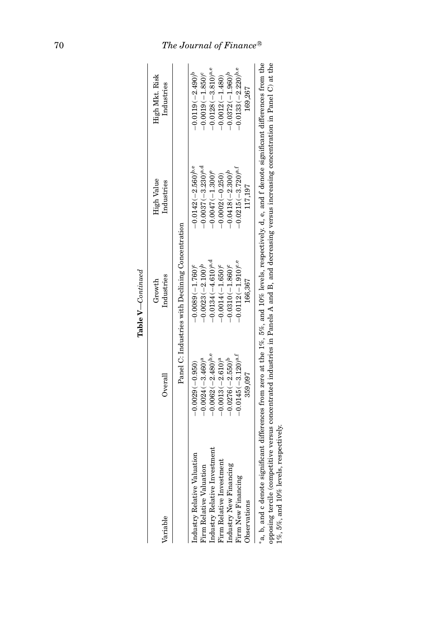|                                                                                                                                                           |                                     | ${\bf Table ~V}-Continued$                       |                          |                                  |
|-----------------------------------------------------------------------------------------------------------------------------------------------------------|-------------------------------------|--------------------------------------------------|--------------------------|----------------------------------|
| Variable                                                                                                                                                  | Overall                             | Industries<br>Growth                             | High Value<br>Industries | High Mkt. Risk<br>Industries     |
|                                                                                                                                                           |                                     | Panel C: Industries with Declining Concentration |                          |                                  |
| Industry Relative Valuation                                                                                                                               | $-0.0029(-0.950)$                   | $-0.0089(-1.760)^c$                              | $-0.0142(-2.560)^{b,e}$  | $-0.0119(-2.490)^b$              |
| Firm Relative Valuation                                                                                                                                   | $-0.0024(-3.460)^a$                 | $-0.0023(-2.100)^{\rm b}$                        | $-0.0037(-3.230)^{a,d}$  | $-0.0019(-1.850)^c$              |
| tre<br>Industry Relative Investme                                                                                                                         | $-0.0062$ $(-2.480)$ <sup>p,e</sup> | $-0.0134 (-4.610)a,d$                            | $-0.0047(-1.300)^e$      | $-0.0128(-3.810)^{a.6}$          |
| Firm Relative Investment                                                                                                                                  | $-0.0013(-2.610)a$                  | $-0.0014(-1.650)^c$                              | $-0.0002(-0.250)$        | $-0.0012(-1.480)$                |
| Industry New Financing                                                                                                                                    | $-0.0276(-2.550)^b$                 | $-0.0310(-1.860)^c$                              | $-0.0418(-2.300)^b$      | $-0.0372(-1.960)^b$              |
| Firm New Financing                                                                                                                                        | $-0.0145 (-3.120)^{a.1}$            | $-0.0112(-1.910)^{c.e.}$                         | $-0.0215 (-3.720)^{a,f}$ | $-0.0133(-2.220)$ <sup>p,e</sup> |
| Observations                                                                                                                                              | 359.097                             | 166.367                                          | 117,197                  | 169.267                          |
| $*$ a, b, and c denote significant differences from zero at the 1%, 5%, and 10% levels, respectively. d, e, and f denote significant differences from the |                                     |                                                  |                          |                                  |

 $\alpha$ ,  $\beta$  and  $10\%$  levels, respectively.<br>  $1\%, 5\%$ , and  $10\%$  levels, respectively. opposing tercile (competitive versus concentrated industries in Panels A and B, and decreasing versus increasing concentration in Panel C) at the 1%, 5%, and 10% levels, respectively.

### 70 *The Journal of Finance* R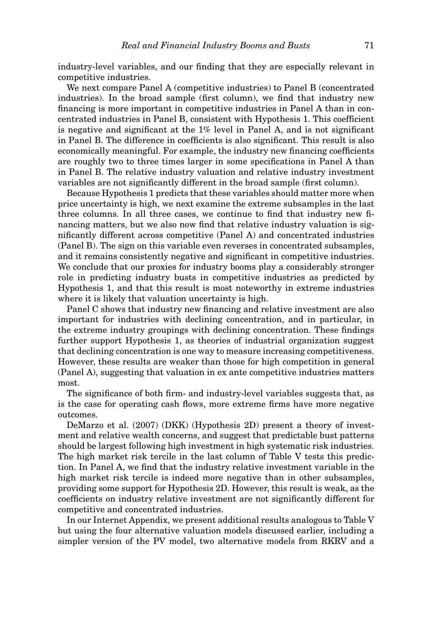industry-level variables, and our finding that they are especially relevant in competitive industries.

We next compare Panel A (competitive industries) to Panel B (concentrated industries). In the broad sample (first column), we find that industry new financing is more important in competitive industries in Panel A than in concentrated industries in Panel B, consistent with Hypothesis 1. This coefficient is negative and significant at the 1% level in Panel A, and is not significant in Panel B. The difference in coefficients is also significant. This result is also economically meaningful. For example, the industry new financing coefficients are roughly two to three times larger in some specifications in Panel A than in Panel B. The relative industry valuation and relative industry investment variables are not significantly different in the broad sample (first column).

Because Hypothesis 1 predicts that these variables should matter more when price uncertainty is high, we next examine the extreme subsamples in the last three columns. In all three cases, we continue to find that industry new financing matters, but we also now find that relative industry valuation is significantly different across competitive (Panel A) and concentrated industries (Panel B). The sign on this variable even reverses in concentrated subsamples, and it remains consistently negative and significant in competitive industries. We conclude that our proxies for industry booms play a considerably stronger role in predicting industry busts in competitive industries as predicted by Hypothesis 1, and that this result is most noteworthy in extreme industries where it is likely that valuation uncertainty is high.

Panel C shows that industry new financing and relative investment are also important for industries with declining concentration, and in particular, in the extreme industry groupings with declining concentration. These findings further support Hypothesis 1, as theories of industrial organization suggest that declining concentration is one way to measure increasing competitiveness. However, these results are weaker than those for high competition in general (Panel A), suggesting that valuation in ex ante competitive industries matters most.

The significance of both firm- and industry-level variables suggests that, as is the case for operating cash flows, more extreme firms have more negative outcomes.

DeMarzo et al. (2007) (DKK) (Hypothesis 2D) present a theory of investment and relative wealth concerns, and suggest that predictable bust patterns should be largest following high investment in high systematic risk industries. The high market risk tercile in the last column of Table V tests this prediction. In Panel A, we find that the industry relative investment variable in the high market risk tercile is indeed more negative than in other subsamples, providing some support for Hypothesis 2D. However, this result is weak, as the coefficients on industry relative investment are not significantly different for competitive and concentrated industries.

In our Internet Appendix, we present additional results analogous to Table V but using the four alternative valuation models discussed earlier, including a simpler version of the PV model, two alternative models from RKRV and a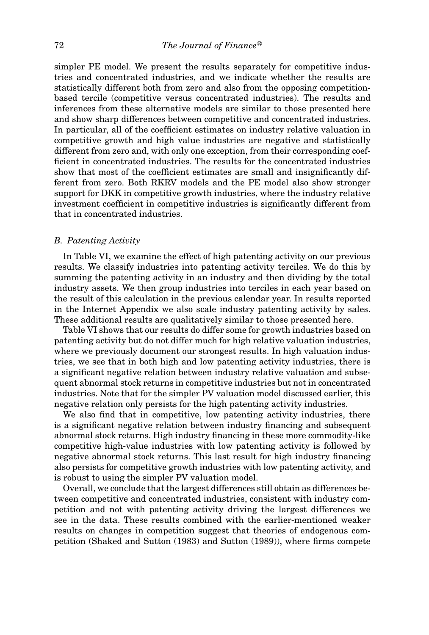simpler PE model. We present the results separately for competitive industries and concentrated industries, and we indicate whether the results are statistically different both from zero and also from the opposing competitionbased tercile (competitive versus concentrated industries). The results and inferences from these alternative models are similar to those presented here and show sharp differences between competitive and concentrated industries. In particular, all of the coefficient estimates on industry relative valuation in competitive growth and high value industries are negative and statistically different from zero and, with only one exception, from their corresponding coefficient in concentrated industries. The results for the concentrated industries show that most of the coefficient estimates are small and insignificantly different from zero. Both RKRV models and the PE model also show stronger support for DKK in competitive growth industries, where the industry relative investment coefficient in competitive industries is significantly different from that in concentrated industries.

### *B. Patenting Activity*

In Table VI, we examine the effect of high patenting activity on our previous results. We classify industries into patenting activity terciles. We do this by summing the patenting activity in an industry and then dividing by the total industry assets. We then group industries into terciles in each year based on the result of this calculation in the previous calendar year. In results reported in the Internet Appendix we also scale industry patenting activity by sales. These additional results are qualitatively similar to those presented here.

Table VI shows that our results do differ some for growth industries based on patenting activity but do not differ much for high relative valuation industries, where we previously document our strongest results. In high valuation industries, we see that in both high and low patenting activity industries, there is a significant negative relation between industry relative valuation and subsequent abnormal stock returns in competitive industries but not in concentrated industries. Note that for the simpler PV valuation model discussed earlier, this negative relation only persists for the high patenting activity industries.

We also find that in competitive, low patenting activity industries, there is a significant negative relation between industry financing and subsequent abnormal stock returns. High industry financing in these more commodity-like competitive high-value industries with low patenting activity is followed by negative abnormal stock returns. This last result for high industry financing also persists for competitive growth industries with low patenting activity, and is robust to using the simpler PV valuation model.

Overall, we conclude that the largest differences still obtain as differences between competitive and concentrated industries, consistent with industry competition and not with patenting activity driving the largest differences we see in the data. These results combined with the earlier-mentioned weaker results on changes in competition suggest that theories of endogenous competition (Shaked and Sutton (1983) and Sutton (1989)), where firms compete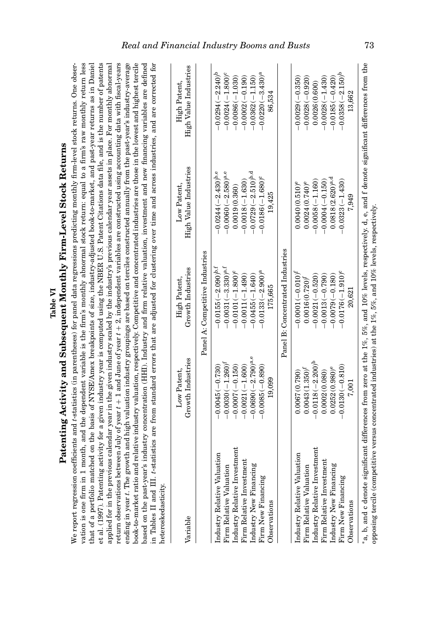| ⋝ |   |
|---|---|
|   |   |
| Φ | Í |
| ᅀ |   |
|   |   |
| £ |   |
|   |   |

## Patenting Activity and Subsequent Monthly Firm-Level Stock Returns **Patenting Activity and Subsequent Monthly Firm-Level Stock Returns**

ation is one firm in 1 month, and the dependent variable is the firm's monthly abnormal stock return: equal to a firm's raw monthly return less et al. (1997). Patenting activity for a given industry year is computed using the NBER U.S. Patent Citations data file, and is the number of patents return observations between July of year  $t+1$  and June of year  $t+2$ , independent variables are constructed using accounting data with fiscal-years book-to-market ratio and relative industry valuation, respectively. Competitive and concentrated industries are those in the lowest and highest tercile assed on the past-year's industry concentration (HHI). Industry and firm relative valuation, investment and new financing variables are defined We report regression coefficients and t-statistics (in parentheses) for panel data regressions predicting monthly firm-level stock returns. One obser-We report regression coefficients and *t*-statistics (in parentheses) for panel data regressions predicting monthly firm-level stock returns. One observation is one firm in 1 month, and the dependent variable is the firm's monthly abnormal stock return: equal to a firm's raw monthly return less that of a portfolio matched on the basis of NYSE/Amex breakpoints of size, industry-adjusted book-to-market, and past-year returns as in Daniel that of a portfolio matched on the basis of NYSE/Amex breakpoints of size, industry-adjusted book-to-market, and past-year returns as in Daniel et al. (1997). Patenting activity for a given industry year is computed using the NBER U.S. Patent Citations data file, and is the number of patents applied for in the previous calendar year in the given industry scaled by the industry's previous calendar year assets in place. For monthly abnormal applied for in the previous calendar year in the given industry scaled by the industry's previous calendar year assets in place. For monthly abnormal return observations between July of year *t* + 1 and June of year *t* + 2, independent variables are constructed using accounting data with fiscal-years ending in year *t*. The growth and high valuation industry groupings are based on terciles constructed annually from the past-year's industry-average ending in year *t*. The growth and high valuation industry groupings are based on terciles constructed annually from the past-year's industry-average book-to-market ratio and relative industry valuation, respectively. Competitive and concentrated industries are those in the lowest and highest tercile based on the past-year's industry concentration (HHI). Industry and firm relative valuation, investment and new financing variables are defined in Tables II and III. t-statistics are from standard errors that are adjusted for clustering over time and across industries, and are corrected for in Tables II and III. *t*-statistics are from standard errors that are adjusted for clustering over time and across industries, and are corrected for heteroskedasticity. heteroskedasticity.

| Variable                                                                                                                                                                                                                                                                          | Growth Industries<br>Low Patent.              | Growth Industries<br>High Patent,                  | High Value Industries<br>Low Patent                         | High Value Industries<br>High Patent       |
|-----------------------------------------------------------------------------------------------------------------------------------------------------------------------------------------------------------------------------------------------------------------------------------|-----------------------------------------------|----------------------------------------------------|-------------------------------------------------------------|--------------------------------------------|
|                                                                                                                                                                                                                                                                                   |                                               | Panel A: Competitive Industries                    |                                                             |                                            |
| Industry Relative Valuation<br>Firm Relative Valuation                                                                                                                                                                                                                            | $-0.0030(-1.260)^f$<br>$-0.0045$ ( $-0.730$ ) | $-0.0155(-2.090)^{b,f}$<br>$-0.0031(-3.330)^{a,f}$ | $-0.0060(-2.580)^{a,e}$<br>$-0.0244(-2.430)$ <sup>b,e</sup> | $-0.0294(-2.240)^b$<br>$-0.0024(-1.800)^c$ |
| $_{\rm ent}$<br>Industry Relative Investme                                                                                                                                                                                                                                        | $-0.0007(-0.150)$                             | $-0.0101(-1.800)^c$                                | 0.0019(0.360)                                               | $-0.0086(-1.030)$                          |
| Firm Relative Investment<br>Industry New Financing                                                                                                                                                                                                                                | $-0.0690(-2.790)^a$ .<br>$-0.0021\,(-1.600)$  | $-0.0455(-1.640)$<br>$-0.0011(-1.490)$             | $-0.0729(-2.510)^{b,d}$<br>$-0.0018(-1.630)$                | $-0.0002(-0.190)$<br>$-0.0362(-1.150)$     |
| Firm New Financing                                                                                                                                                                                                                                                                | $-0.0085\,(-0.890)$                           | $-0.0133(-2.900)^a$                                | $-0.0186$ ( $-1.680$ ) $^{\rm c}$                           | $-0.0220$ ( $-3.430$ ) <sup>a</sup>        |
| Observations                                                                                                                                                                                                                                                                      | 19.099                                        | 175,665                                            | 19.425                                                      | 86.534                                     |
|                                                                                                                                                                                                                                                                                   |                                               | Panel B: Concentrated Industries                   |                                                             |                                            |
| Industry Relative Valuation                                                                                                                                                                                                                                                       | 0.0067(0.790)                                 | $-0.0001(-0.010)^f$                                | $0.0040(0.510)^e$                                           | $-0.0029(-0.350)$                          |
| Firm Relative Valuation                                                                                                                                                                                                                                                           | $0.0043(1.350)^4$                             | $0.0016(0.720)^t$                                  | $0.0024(0.740)^e$                                           | $-0.0028(-0.920)$                          |
| Industry Relative Investment                                                                                                                                                                                                                                                      | $-0.0118(-2.200)^b$                           | $-0.0021(-0.520)$                                  | $-0.0058(-1.160)$                                           | 0.0026(0.600)                              |
| Firm Relative Investment                                                                                                                                                                                                                                                          | 0.0002(0.080)                                 | $-0.0013(-0.790)$                                  | $-0.0004\,(-0.150)$                                         | $-0.0028(-1.430)$                          |
| Industry New Financing                                                                                                                                                                                                                                                            | $0.0252(0.980)^e$                             | $-0.0079(-0.180)$                                  | $0.0818(2.620)^{a,d}$                                       | $-0.0185(-0.420)$                          |
| Firm New Financing                                                                                                                                                                                                                                                                | $-0.0130\,(-0.810)$                           | $-0.0176$ ( $-1.910$ ) $^{\rm c}$                  | $-0.0323(-1.430)$                                           | $-0.0358(-2.150)^{\rm b}$                  |
| Observations                                                                                                                                                                                                                                                                      | 7.001                                         | 20.621                                             | 7.949                                                       | 13.662                                     |
| $*$ a, b, and c denote significant differences from zero at the 1%, 5%, and 10% levels, respectively. d, e, and f denote significant differences from the<br>opposing tercile (competitive versus concentrated industries) at the $1\%$ , $5\%$ , and $10\%$ levels, respectively |                                               |                                                    |                                                             |                                            |

### *Real and Financial Industry Booms and Busts* 73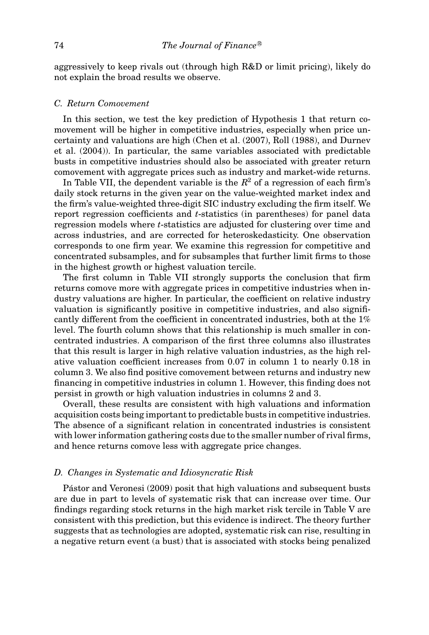aggressively to keep rivals out (through high R&D or limit pricing), likely do not explain the broad results we observe.

### *C. Return Comovement*

In this section, we test the key prediction of Hypothesis 1 that return comovement will be higher in competitive industries, especially when price uncertainty and valuations are high (Chen et al. (2007), Roll (1988), and Durnev et al. (2004)). In particular, the same variables associated with predictable busts in competitive industries should also be associated with greater return comovement with aggregate prices such as industry and market-wide returns.

In Table VII, the dependent variable is the  $R^2$  of a regression of each firm's daily stock returns in the given year on the value-weighted market index and the firm's value-weighted three-digit SIC industry excluding the firm itself. We report regression coefficients and *t*-statistics (in parentheses) for panel data regression models where *t*-statistics are adjusted for clustering over time and across industries, and are corrected for heteroskedasticity. One observation corresponds to one firm year. We examine this regression for competitive and concentrated subsamples, and for subsamples that further limit firms to those in the highest growth or highest valuation tercile.

The first column in Table VII strongly supports the conclusion that firm returns comove more with aggregate prices in competitive industries when industry valuations are higher. In particular, the coefficient on relative industry valuation is significantly positive in competitive industries, and also significantly different from the coefficient in concentrated industries, both at the 1% level. The fourth column shows that this relationship is much smaller in concentrated industries. A comparison of the first three columns also illustrates that this result is larger in high relative valuation industries, as the high relative valuation coefficient increases from 0.07 in column 1 to nearly 0.18 in column 3. We also find positive comovement between returns and industry new financing in competitive industries in column 1. However, this finding does not persist in growth or high valuation industries in columns 2 and 3.

Overall, these results are consistent with high valuations and information acquisition costs being important to predictable busts in competitive industries. The absence of a significant relation in concentrated industries is consistent with lower information gathering costs due to the smaller number of rival firms, and hence returns comove less with aggregate price changes.

### *D. Changes in Systematic and Idiosyncratic Risk*

Pástor and Veronesi (2009) posit that high valuations and subsequent busts are due in part to levels of systematic risk that can increase over time. Our findings regarding stock returns in the high market risk tercile in Table V are consistent with this prediction, but this evidence is indirect. The theory further suggests that as technologies are adopted, systematic risk can rise, resulting in a negative return event (a bust) that is associated with stocks being penalized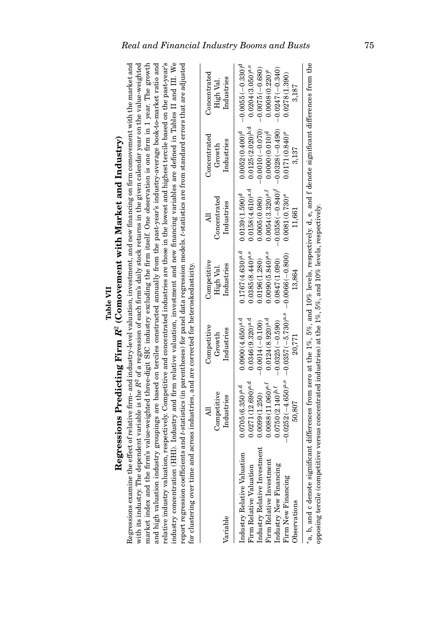| ۰ |   |
|---|---|
|   | Φ |
|   |   |

### *R*2 **(Comovement with Market and Industry)** Regressions Predicting Firm  $R^2$  (Comovement with Market and Industry) **Regressions Predicting Firm**

relative industry valuation, respectively. Competitive and concentrated industries are those in the lowest and highest tercile based on the past-year's Regressions examine the effect of relative firm- and industry-level valuation, investment, and new financing on firm comovement with the market and Regressions examine the effect of relative firm- and industry-level valuation, investment, and new financing on firm comovement with the market and with its industry. The dependent variable is the  $R^2$  of a regression of each firm's daily stock returns in the given calendar year on the value-weighted  $R^2$  of a regression of each firm's daily stock returns in the given calendar year on the value-weighted market index and the firm's value-weighted three-digit SIC industry excluding the firm itself. One observation is one firm in 1 year. The growth market index and the firm's value-weighted three-digit SIC industry excluding the firm itself. One observation is one firm in 1 year. The growth and high valuation industry groupings are based on terciles constructed annually from the past-year's industry-average book-to-market ratio and and high valuation industry groupings are based on terciles constructed annually from the past-year's industry-average book-to-market ratio and relative industry valuation, respectively. Competitive and concentrated industries are those in the lowest and highest tercile based on the past-year's industry concentration (HHI). Industry and firm relative valuation, investment and new financing variables are defined in Tables II and III. We industry concentration (HHI). Industry and firm relative valuation, investment and new financing variables are defined in Tables II and III. We report regression coefficients and t-statistics (in parentheses) for panel data regression models. t-statistics are from standard errors that are adjusted report regression coefficients and *t*-statistics (in parentheses) for panel data regression models. *t*-statistics are from standard errors that are adjusted for clustering over time and across industries, and are corrected for heteroskedasticity. for clustering over time and across industries, and are corrected for heteroskedasticity. with its industry. The dependent variable is the

| Variable                                                                                                                                                                           | Competitive<br>Industries<br>$\Xi$                                                                                                                       | Competitive<br>Industries<br>Growth                                                                                                                    | Competitive<br>Industries<br>High Val.                                                                                                                       | Concentrated<br>Industries<br>E                                                                                       | Concentrated<br>Industries<br>Growth                                                                                | Concentrated<br>Industries<br>High Val.                                                                                                                                      |
|------------------------------------------------------------------------------------------------------------------------------------------------------------------------------------|----------------------------------------------------------------------------------------------------------------------------------------------------------|--------------------------------------------------------------------------------------------------------------------------------------------------------|--------------------------------------------------------------------------------------------------------------------------------------------------------------|-----------------------------------------------------------------------------------------------------------------------|---------------------------------------------------------------------------------------------------------------------|------------------------------------------------------------------------------------------------------------------------------------------------------------------------------|
| Industry Relative Investment<br>Industry Relative Valuation<br>Firm Relative Investment<br>Firm Relative Valuation<br>Industry New Financing<br>Firm New Financing<br>Observations | $-0.0252(-4.650)^{a,e}$<br>$0.0271(12.690)^{a,d}$<br>$0.0088(11.060)^{a.f}$<br>$0.0705(6.350)^{a,d}$<br>$0.0750(2.140)^{b.f}$<br>0.0099(1.250)<br>50,807 | $-0.0357(-5.730)^{a,e}$<br>$0.0900(4.650)^{a,d}$<br>$0.0124(8.920)^{a,d}$<br>$0.0346(9.320)^{a,d}$<br>$-0.0325(-0.590)$<br>$-0.0014(-0.100)$<br>20,771 | $0.1767(4.630)^{a,d}$ $0.0139(1.590)^{d}$<br>$0.0385(8.440)^{a,e}$<br>$0.0090(5.840)^{a,e}$<br>$-0.0066(-0.800)$<br>0.0196(1.280)<br>0.0847(1.090)<br>13.864 | $0.0158(4.610)^{a,d}$<br>$-0.0358(-0.840)^f$<br>$0.0054(3.320)^{a.f}$<br>$0.0081(0.730)^e$<br>0.0005(0.080)<br>11,661 | $0.0125(2.020)^{b,d}$<br>$-0.0010(-0.070)$<br>$-0.0328(-0.490)$<br>$0.0000 (0.010)^d$<br>$0.0171(0.840)^e$<br>3,137 | $0.0052(0.400)^d$ -0.0055 (-0.330) <sup>d</sup><br>$0.0204(3.050)^{a.e}$<br>$-0.0075(-0.680)$<br>$-0.0247(-0.340)$<br>$0.0008(0.220)$ <sup>e</sup><br>0.0278(1.390)<br>3,187 |
| "我们的人的,你们是我们的人的人的。""我们的人的人的人的人的人的?""我们的人是不是,我们的人的人的人的人的人的人的人的人的人的人的人的人的人的人的人的人的人的人                                                                                                 |                                                                                                                                                          |                                                                                                                                                        |                                                                                                                                                              |                                                                                                                       |                                                                                                                     |                                                                                                                                                                              |

a, b, and c denote significant differences from zero at the  $1\%$ ,  $5\%$ , and  $10\%$  levels, respectively. d, e, and f denote significant differences from the ∗a, b, and c denote significant differences from zero at the 1%, 5%, and 10% levels, respectively. d, e, and f denote significant differences from the opposing tercile (competitive versus concentrated industries) at the  $1\%$ ,  $5\%$ , and  $10\%$  levels, respectively. opposing tercile (competitive versus concentrated industries) at the  $1\%, 5\%,$  and  $10\%$  levels, respectively.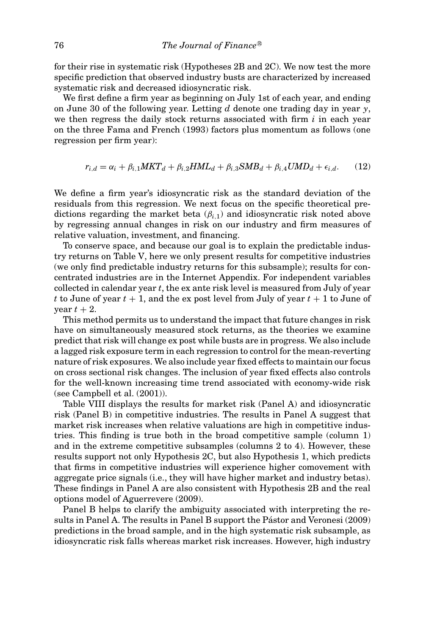for their rise in systematic risk (Hypotheses 2B and 2C). We now test the more specific prediction that observed industry busts are characterized by increased systematic risk and decreased idiosyncratic risk.

We first define a firm year as beginning on July 1st of each year, and ending on June 30 of the following year. Letting *d* denote one trading day in year *y*, we then regress the daily stock returns associated with firm *i* in each year on the three Fama and French (1993) factors plus momentum as follows (one regression per firm year):

$$
r_{i,d} = \alpha_i + \beta_{i,1} MKT_d + \beta_{i,2} HML_d + \beta_{i,3} SMB_d + \beta_{i,4} UMD_d + \epsilon_{i,d}.
$$
 (12)

We define a firm year's idiosyncratic risk as the standard deviation of the residuals from this regression. We next focus on the specific theoretical predictions regarding the market beta  $(\beta_{i,1})$  and idiosyncratic risk noted above by regressing annual changes in risk on our industry and firm measures of relative valuation, investment, and financing.

To conserve space, and because our goal is to explain the predictable industry returns on Table V, here we only present results for competitive industries (we only find predictable industry returns for this subsample); results for concentrated industries are in the Internet Appendix. For independent variables collected in calendar year *t*, the ex ante risk level is measured from July of year *t* to June of year *t* + 1, and the ex post level from July of year *t* + 1 to June of year  $t + 2$ .

This method permits us to understand the impact that future changes in risk have on simultaneously measured stock returns, as the theories we examine predict that risk will change ex post while busts are in progress. We also include a lagged risk exposure term in each regression to control for the mean-reverting nature of risk exposures. We also include year fixed effects to maintain our focus on cross sectional risk changes. The inclusion of year fixed effects also controls for the well-known increasing time trend associated with economy-wide risk (see Campbell et al. (2001)).

Table VIII displays the results for market risk (Panel A) and idiosyncratic risk (Panel B) in competitive industries. The results in Panel A suggest that market risk increases when relative valuations are high in competitive industries. This finding is true both in the broad competitive sample (column 1) and in the extreme competitive subsamples (columns 2 to 4). However, these results support not only Hypothesis 2C, but also Hypothesis 1, which predicts that firms in competitive industries will experience higher comovement with aggregate price signals (i.e., they will have higher market and industry betas). These findings in Panel A are also consistent with Hypothesis 2B and the real options model of Aguerrevere (2009).

Panel B helps to clarify the ambiguity associated with interpreting the results in Panel A. The results in Panel B support the Pástor and Veronesi (2009) predictions in the broad sample, and in the high systematic risk subsample, as idiosyncratic risk falls whereas market risk increases. However, high industry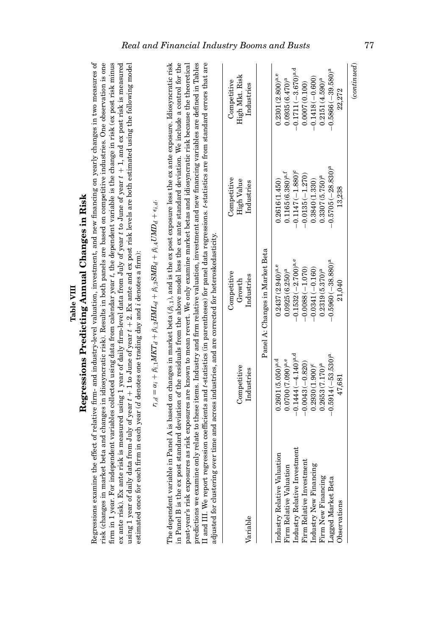| $_{(continued)}$                            |                                                                                                                                        |                                                                                                                        |                           |                                                                                                                                                                                                                                                                                                                                                                                                                                                                                                                                                                                                                                                                                                                                                                                |
|---------------------------------------------|----------------------------------------------------------------------------------------------------------------------------------------|------------------------------------------------------------------------------------------------------------------------|---------------------------|--------------------------------------------------------------------------------------------------------------------------------------------------------------------------------------------------------------------------------------------------------------------------------------------------------------------------------------------------------------------------------------------------------------------------------------------------------------------------------------------------------------------------------------------------------------------------------------------------------------------------------------------------------------------------------------------------------------------------------------------------------------------------------|
| 22,272                                      | 13,238                                                                                                                                 | 21,040                                                                                                                 | 47,681                    | Observations                                                                                                                                                                                                                                                                                                                                                                                                                                                                                                                                                                                                                                                                                                                                                                   |
| $-0.5866(-39.580)^a$                        | $-0.5705 (-28.830)^a$                                                                                                                  | $-0.5960(-38.880)a$                                                                                                    | $-0.5914(-53.530)^a$      | Lagged Market Beta                                                                                                                                                                                                                                                                                                                                                                                                                                                                                                                                                                                                                                                                                                                                                             |
| $0.2151(4.590)^a$                           | $0.3307(5.750)^a$                                                                                                                      | $0.2319(5.370)^a$                                                                                                      | $0.2653(7.170)^a$         | Firm New Financing                                                                                                                                                                                                                                                                                                                                                                                                                                                                                                                                                                                                                                                                                                                                                             |
| $-0.1418(-0.600)$                           | 0.3840(1.330)                                                                                                                          | $-0.0341(-0.160)$                                                                                                      | $0.2930(1.900)^c$         | Industry New Financing                                                                                                                                                                                                                                                                                                                                                                                                                                                                                                                                                                                                                                                                                                                                                         |
| 0.0007(0.100)                               | $-0.0135(-1.270)$                                                                                                                      | $-0.0088(-1.070)$                                                                                                      | $-0.0043(-0.820)$         | Firm Relative Investment                                                                                                                                                                                                                                                                                                                                                                                                                                                                                                                                                                                                                                                                                                                                                       |
| $-0.1711(-3.670)^{a,d}$                     | $-0.1147(-1.880)^c$                                                                                                                    | $-0.1532(-2.700)^{a,e}$                                                                                                | $-0.1444 (-4.140)^{a,d}$  | Industry Relative Investment                                                                                                                                                                                                                                                                                                                                                                                                                                                                                                                                                                                                                                                                                                                                                   |
| $0.0935(6.470)^a$                           | $0.1165(6.380)^{a.f}$                                                                                                                  | $0.0925(6.250)^a$                                                                                                      | $0.0700(7.090)^{a,e}$     | Firm Relative Valuation                                                                                                                                                                                                                                                                                                                                                                                                                                                                                                                                                                                                                                                                                                                                                        |
| $0.2301(2.800)^{a,e}$                       | 0.2616(1.450)                                                                                                                          | $0.2437(2.940)^{a.e}$                                                                                                  | $0.2601(5.050)^{a,d}$     | Industry Relative Valuation                                                                                                                                                                                                                                                                                                                                                                                                                                                                                                                                                                                                                                                                                                                                                    |
|                                             |                                                                                                                                        | Panel A: Changes in Market Beta                                                                                        |                           |                                                                                                                                                                                                                                                                                                                                                                                                                                                                                                                                                                                                                                                                                                                                                                                |
| High Mkt. Risk<br>Competitive<br>Industries | Competitive<br>High Value<br>Industries                                                                                                | Competitive<br>Industries<br>Growth                                                                                    | Competitive<br>Industries | Variable                                                                                                                                                                                                                                                                                                                                                                                                                                                                                                                                                                                                                                                                                                                                                                       |
|                                             |                                                                                                                                        |                                                                                                                        |                           |                                                                                                                                                                                                                                                                                                                                                                                                                                                                                                                                                                                                                                                                                                                                                                                |
|                                             | Panel A is based on changes in market beta $(\beta_{i,1})$ , and is the ex post exposure less the ex ante exposure. Idiosyncratic risk |                                                                                                                        |                           | predictions we examine only relate to these items. Industry and firm relative valuation, investment and new financing variables are defined in Tables<br>in Panel B is the ex post standard deviation of the residuals from the above model less the ex ante standard deviation. We include a control for the<br>past-year's risk exposures as risk exposures are known to mean revert. We only examine market betas and idiosyncratic risk because the theoretical<br>II and III. We report regression coefficients and t-statistics (in parentheses) for panel data regressions. $t$ -statistics are from standard errors that are<br>$\rm{adjusted~for~clustering~over~time~and~across~industries,~and~are~corrected~for~heteroskedasticity.}$<br>The dependent variable in |
|                                             |                                                                                                                                        | $r_{i,d} = \alpha_i + \beta_{i,1} MKT_d + \beta_{i,2} HML_d + \beta_{i,3} SMB_d + \beta_{i,4} UMD_d + \epsilon_{i,d}.$ |                           |                                                                                                                                                                                                                                                                                                                                                                                                                                                                                                                                                                                                                                                                                                                                                                                |
|                                             | is measured using 1 year of daily firm-level data from July of year t to June of year $t + 1$ , and ex post risk is measured           |                                                                                                                        |                           | firm in 1 year. For independent variables collected using data from calendar year t, the dependent variable is the change in risk (ex post risk minus<br>using 1 year of daily data from July of year $t + 1$ to June of year $t + 2$ . Ex ante and ex post risk levels are both estimated using the following model<br>estimated once for each firm in each year ( $d$ denotes one trading day and $i$ denotes a firm):<br>ex ante risk). Ex ante risk                                                                                                                                                                                                                                                                                                                        |
|                                             |                                                                                                                                        |                                                                                                                        |                           | risk (changes in market beta and changes in idiosyncratic risk). Results in both panels are based on competitive industries. One observation is one                                                                                                                                                                                                                                                                                                                                                                                                                                                                                                                                                                                                                            |

### Regressions Predicting Annual Changes in Risk **Regressions Predicting Annual Changes in Risk** Table VIII **Table VIII**

Regressions examine the effect of relative firm- and industry-level valuation, investment, and new financing on yearly changes in two measures of

Regressions examine the effect of relative firm- and industry-level valuation, investment, and new financing on yearly changes in two measures of

*Real and Financial Industry Booms and Busts* 77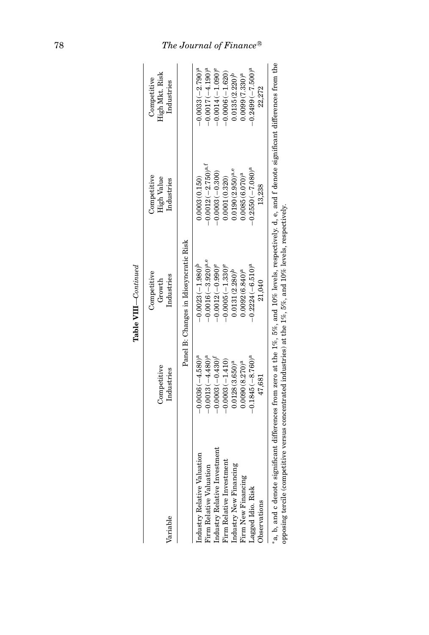| Variable                                                                                                                                                                                                   | Competitive<br>Industries                                                                                                                                         | Competitive<br>Industries<br>Growth                                                                                                                                                      | Competitive<br>High Value<br>Industries                                                                                                                      | High Mkt. Risk<br>Competitive<br>Industries                                                                                                                                                             |
|------------------------------------------------------------------------------------------------------------------------------------------------------------------------------------------------------------|-------------------------------------------------------------------------------------------------------------------------------------------------------------------|------------------------------------------------------------------------------------------------------------------------------------------------------------------------------------------|--------------------------------------------------------------------------------------------------------------------------------------------------------------|---------------------------------------------------------------------------------------------------------------------------------------------------------------------------------------------------------|
|                                                                                                                                                                                                            |                                                                                                                                                                   | Panel B: Changes in Idiosyncratic Risk                                                                                                                                                   |                                                                                                                                                              |                                                                                                                                                                                                         |
| Ë<br>Industry Relative Valuation<br>Industry Relative Investme<br>Firm Relative Investment<br>Industry New Financing<br>Firm Relative Valuation<br>Firm New Financing<br>Lagged Idio. Risk<br>Observations | $-0.0036(-4.580)^a$<br>$-0.1845(-8.760)^a$<br>$-0.0013(-4.480)^a$<br>$-0.0003(-0.430)^t$<br>$-0.0003(-1.410)$<br>$0.0128(3.650)^a$<br>$0.0090(8.270)^a$<br>47.681 | $-0.0016(-3.920)^{a,e}$<br>$-0.0023(-1.980)^{b}$<br>$-0.0005(-1.330)^e$<br>$-0.0012$ ( $-0.990$ ) $^{\circ}$<br>$0.2224(-6.510)^a$<br>$0.0131(2.280)^{p}$<br>$0.0092(6.840)^a$<br>21.040 | $-0.0012(-2.750)^{a.1}$<br>$0.2550(-7.080)^a$<br>$0.0190(2.950)^{a.e}$<br>$-0.0003(-0.300)$<br>$0.0085(6.070)^a$<br>0.0003(0.150)<br>0.0001(0.320)<br>13.238 | $-0.0033(-2.790)^a$<br>$0.2499$ ( $-7.500$ ) <sup>a</sup><br>$-0.0017(-4.190)^a$<br>$-0.0014$ ( $-1.090$ ) $^{\rm e}$<br>$-0.0006(-1.620)$<br>0.0099(7.330) <sup>a</sup><br>$0.0135(2.220)^p$<br>22,272 |
| $*$ a, b, and c denote significant differences from zero at the 1%, 5%, and 10% levels, respectively. d, e, and f denote significant differences from the                                                  |                                                                                                                                                                   |                                                                                                                                                                                          |                                                                                                                                                              |                                                                                                                                                                                                         |

opposing tercile (competitive versus concentrated industries) at the  $1\%, 5\%,$  and  $10\%$  levels, respectively. opposing tercile (competitive versus concentrated industries) at the  $1\%, 5\%,$  and  $10\%$  levels, respectively.

### 78 *The Journal of Finance* R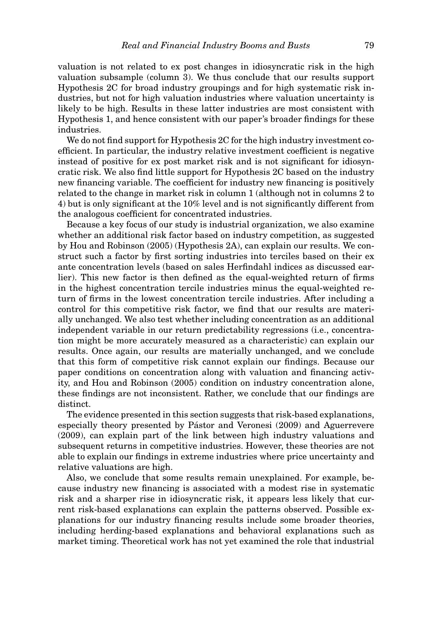valuation is not related to ex post changes in idiosyncratic risk in the high valuation subsample (column 3). We thus conclude that our results support Hypothesis 2C for broad industry groupings and for high systematic risk industries, but not for high valuation industries where valuation uncertainty is likely to be high. Results in these latter industries are most consistent with Hypothesis 1, and hence consistent with our paper's broader findings for these industries.

We do not find support for Hypothesis 2C for the high industry investment coefficient. In particular, the industry relative investment coefficient is negative instead of positive for ex post market risk and is not significant for idiosyncratic risk. We also find little support for Hypothesis 2C based on the industry new financing variable. The coefficient for industry new financing is positively related to the change in market risk in column 1 (although not in columns 2 to 4) but is only significant at the 10% level and is not significantly different from the analogous coefficient for concentrated industries.

Because a key focus of our study is industrial organization, we also examine whether an additional risk factor based on industry competition, as suggested by Hou and Robinson (2005) (Hypothesis 2A), can explain our results. We construct such a factor by first sorting industries into terciles based on their ex ante concentration levels (based on sales Herfindahl indices as discussed earlier). This new factor is then defined as the equal-weighted return of firms in the highest concentration tercile industries minus the equal-weighted return of firms in the lowest concentration tercile industries. After including a control for this competitive risk factor, we find that our results are materially unchanged. We also test whether including concentration as an additional independent variable in our return predictability regressions (i.e., concentration might be more accurately measured as a characteristic) can explain our results. Once again, our results are materially unchanged, and we conclude that this form of competitive risk cannot explain our findings. Because our paper conditions on concentration along with valuation and financing activity, and Hou and Robinson (2005) condition on industry concentration alone, these findings are not inconsistent. Rather, we conclude that our findings are distinct.

The evidence presented in this section suggests that risk-based explanations, especially theory presented by Pástor and Veronesi (2009) and Aguerrevere (2009), can explain part of the link between high industry valuations and subsequent returns in competitive industries. However, these theories are not able to explain our findings in extreme industries where price uncertainty and relative valuations are high.

Also, we conclude that some results remain unexplained. For example, because industry new financing is associated with a modest rise in systematic risk and a sharper rise in idiosyncratic risk, it appears less likely that current risk-based explanations can explain the patterns observed. Possible explanations for our industry financing results include some broader theories, including herding-based explanations and behavioral explanations such as market timing. Theoretical work has not yet examined the role that industrial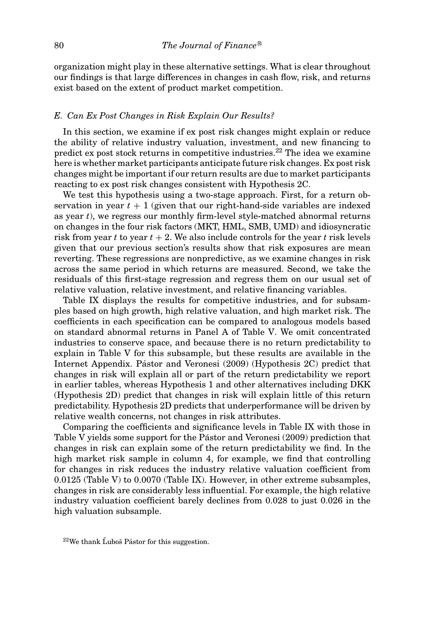organization might play in these alternative settings. What is clear throughout our findings is that large differences in changes in cash flow, risk, and returns exist based on the extent of product market competition.

### *E. Can Ex Post Changes in Risk Explain Our Results?*

In this section, we examine if ex post risk changes might explain or reduce the ability of relative industry valuation, investment, and new financing to predict ex post stock returns in competitive industries.<sup>22</sup> The idea we examine here is whether market participants anticipate future risk changes. Ex post risk changes might be important if our return results are due to market participants reacting to ex post risk changes consistent with Hypothesis 2C.

We test this hypothesis using a two-stage approach. First, for a return observation in year  $t + 1$  (given that our right-hand-side variables are indexed as year *t*), we regress our monthly firm-level style-matched abnormal returns on changes in the four risk factors (MKT, HML, SMB, UMD) and idiosyncratic risk from year  $t$  to year  $t + 2$ . We also include controls for the year  $t$  risk levels given that our previous section's results show that risk exposures are mean reverting. These regressions are nonpredictive, as we examine changes in risk across the same period in which returns are measured. Second, we take the residuals of this first-stage regression and regress them on our usual set of relative valuation, relative investment, and relative financing variables.

Table IX displays the results for competitive industries, and for subsamples based on high growth, high relative valuation, and high market risk. The coefficients in each specification can be compared to analogous models based on standard abnormal returns in Panel A of Table V. We omit concentrated industries to conserve space, and because there is no return predictability to explain in Table V for this subsample, but these results are available in the Internet Appendix. Pástor and Veronesi (2009) (Hypothesis 2C) predict that changes in risk will explain all or part of the return predictability we report in earlier tables, whereas Hypothesis 1 and other alternatives including DKK (Hypothesis 2D) predict that changes in risk will explain little of this return predictability. Hypothesis 2D predicts that underperformance will be driven by relative wealth concerns, not changes in risk attributes.

Comparing the coefficients and significance levels in Table IX with those in Table V yields some support for the Pástor and Veronesi (2009) prediction that changes in risk can explain some of the return predictability we find. In the high market risk sample in column 4, for example, we find that controlling for changes in risk reduces the industry relative valuation coefficient from 0.0125 (Table V) to 0.0070 (Table IX). However, in other extreme subsamples, changes in risk are considerably less influential. For example, the high relative industry valuation coefficient barely declines from 0.028 to just 0.026 in the high valuation subsample.

 $22$ We thank Luboš Pástor for this suggestion.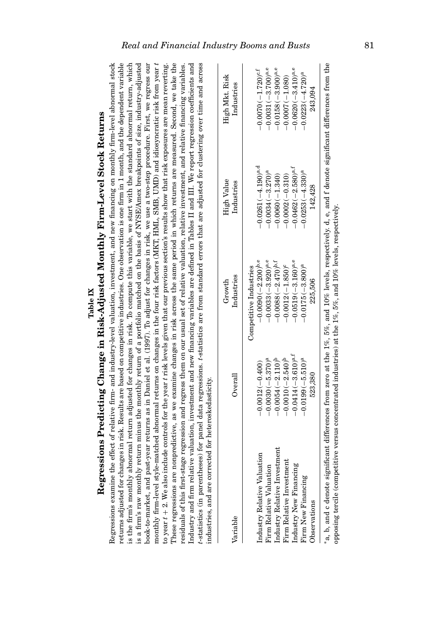| ø              |   |
|----------------|---|
| Φ              | ľ |
| $\overline{a}$ |   |
| أهم            |   |
|                |   |

# Regressions Predicting Change in Risk-Adjusted Monthly Firm-Level Stock Returns **Regressions Predicting Change in Risk-Adjusted Monthly Firm-Level Stock Returns**

returns adjusted for changes in risk. Results are based on competitive industries. One observation is one firm in 1 month, and the dependent variable Regressions examine the effect of relative firm- and industry-level valuation, investment, and new financing on monthly firm-level abnormal stock Regressions examine the effect of relative firm- and industry-level valuation, investment, and new financing on monthly firm-level abnormal stock returns adjusted for changes in risk. Results are based on competitive industries. One observation is one firm in 1 month, and the dependent variable is the firm's monthly abnormal return adjusted for changes in risk. To compute this variable, we start with the standard abnormal return, which is the firm's monthly abnormal return adjusted for changes in risk. To compute this variable, we start with the standard abnormal return, which is a firm's raw monthly return minus the monthly return of a portfolio matched on the basis of NYSE/Amex breakpoints of size, industry-adjusted is a firm's raw monthly return minus the monthly return of a portfolio matched on the basis of NYSE/Amex breakpoints of size, industry-adjusted book-to-market, and past-year returns as in Daniel et al. (1997). To adjust for changes in risk, we use a two-step procedure. First, we regress our monthly firm-level style-matched abnormal returns on changes in the four risk factors (MKT, HML, SMB, UMD) and idiosyncratic risk from year t monthly firm-level style-matched abnormal returns on changes in the four risk factors (MKT, HML, SMB, UMD) and idiosyncratic risk from year *t* to year  $t + 2$ . We also include controls for the year t risk levels given that our previous section's results show that risk exposures are mean reverting. These regressions are nonpredictive, as we examine changes in risk across the same period in which returns are measured. Second, we take the These regressions are nonpredictive, as we examine changes in risk across the same period in which returns are measured. Second, we take the industry and firm relative valuation, investment and new financing variables are defined in Tables II and III. We report regression coefficients and Industry and firm relative valuation, investment and new financing variables are defined in Tables II and III. We report regression coefficients and t-statistics (in parentheses) for panel data regressions. t-statistics are from standard errors that are adjusted for clustering over time and across *t*-statistics (in parentheses) for panel data regressions. *t*-statistics are from standard errors that are adjusted for clustering over time and across book-to-market, and past-year returns as in Daniel et al. (1997). To adjust for changes in risk, we use a two-step procedure. First, we regress our to year *t* + 2. We also include controls for the year *t* risk levels given that our previous section's results show that risk exposures are mean reverting. residuals of this first-stage regression and regress them on our usual set of relative valuation, relative investment, and relative financing variables. residuals of this first-stage regression and regress them on our usual set of relative valuation, relative investment, and relative financing variables. industries, and are corrected for heteroskedasticity. industries, and are corrected for heteroskedasticity.

| Variable                            | Overall                 | Industries<br>Growth    | High Value<br>Industries                                                                                                                                                                                                      | High Mkt. Risk<br>Industries |
|-------------------------------------|-------------------------|-------------------------|-------------------------------------------------------------------------------------------------------------------------------------------------------------------------------------------------------------------------------|------------------------------|
|                                     |                         | Competitive Industries  |                                                                                                                                                                                                                               |                              |
| Industry Relative Valuation         | $-0.0012(-0.400)$       | $-0.0090(-2.200)^{b,0}$ | $-0.0261 (-4.190)^{a,d}$                                                                                                                                                                                                      | $-0.0070(-1.720)^{c,f}$      |
| Firm Relative Valuation             | $-0.0030(-5.370)a$      | $-0.0033(-3.920)^{a}$   | $-0.0034(-3.270)$                                                                                                                                                                                                             | $0.0031(-3.700)^{a,e}$       |
| Industry Relative Investment        | $-0.0054(-2.110)^b$     | $-0.0088(-2.470)^{b,f}$ | $-0.0060(-1.340)$                                                                                                                                                                                                             | $-0.0158(-3.900)^{a,e}$      |
| Firm Relative Investment            | $-0.0010(-2.540)^b$     | $-0.0012(-1.850)^c$     | $-0.0002(-0.310)$                                                                                                                                                                                                             | $0.0007(-1.080)$             |
| Industry New Financing              | $-0.0414(-3.610)^{a,f}$ | $-0.0519(-3.160)^{a,e}$ | $-0.0462$ $(-2.580)$ <sup>a.1</sup>                                                                                                                                                                                           | $0.0620 (-3.410)^{a,e}$      |
| Firm New Financing                  | $-0.0199(-5.510)^a$     | $0.0175(-3.800)^a$      | $0.0253(-4.330)a$                                                                                                                                                                                                             | $(0.0223(-4.720)^a$          |
| <b>Jbservations</b>                 | 523,380                 | 225,506                 | 142,428                                                                                                                                                                                                                       | 243,094                      |
| $rac{1}{2}$<br>$\ddot{\phantom{a}}$ |                         | - 124 - 124 - 125 -     | contract contract contract of the contract of the contract of the contract of the contract of the contract of the contract of the contract of the contract of the contract of the contract of the contract of the contract of |                              |

a, b, and c denote significant differences from zero at the  $1\%$ ,  $5\%$ , and  $10\%$  levels, respectively, d, e, and i denote significant differences from the ∗a, b, and c denote significant differences from zero at the 1%, 5%, and 10% levels, respectively. d, e, and f denote significant differences from the opposing tercile (competitive versus concentrated industries) at the  $1\%$ ,  $5\%$ , and  $10\%$  levels, respectively. opposing tercile (competitive versus concentrated industries) at the  $1\%, 5\%,$  and  $10\%$  levels, respectively.

### *Real and Financial Industry Booms and Busts* 81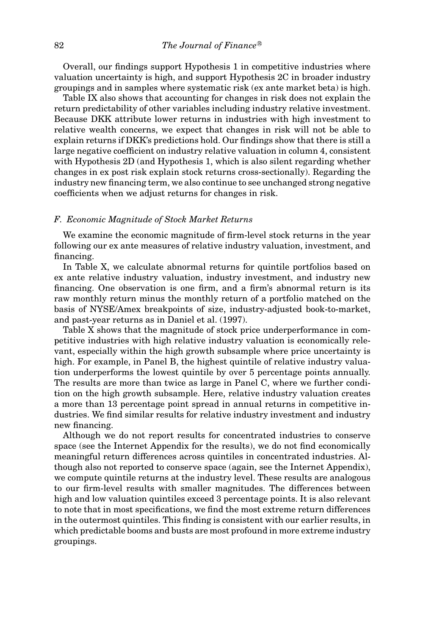Overall, our findings support Hypothesis 1 in competitive industries where valuation uncertainty is high, and support Hypothesis 2C in broader industry groupings and in samples where systematic risk (ex ante market beta) is high.

Table IX also shows that accounting for changes in risk does not explain the return predictability of other variables including industry relative investment. Because DKK attribute lower returns in industries with high investment to relative wealth concerns, we expect that changes in risk will not be able to explain returns if DKK's predictions hold. Our findings show that there is still a large negative coefficient on industry relative valuation in column 4, consistent with Hypothesis 2D (and Hypothesis 1, which is also silent regarding whether changes in ex post risk explain stock returns cross-sectionally). Regarding the industry new financing term, we also continue to see unchanged strong negative coefficients when we adjust returns for changes in risk.

### *F. Economic Magnitude of Stock Market Returns*

We examine the economic magnitude of firm-level stock returns in the year following our ex ante measures of relative industry valuation, investment, and financing.

In Table X, we calculate abnormal returns for quintile portfolios based on ex ante relative industry valuation, industry investment, and industry new financing. One observation is one firm, and a firm's abnormal return is its raw monthly return minus the monthly return of a portfolio matched on the basis of NYSE/Amex breakpoints of size, industry-adjusted book-to-market, and past-year returns as in Daniel et al. (1997).

Table X shows that the magnitude of stock price underperformance in competitive industries with high relative industry valuation is economically relevant, especially within the high growth subsample where price uncertainty is high. For example, in Panel B, the highest quintile of relative industry valuation underperforms the lowest quintile by over 5 percentage points annually. The results are more than twice as large in Panel C, where we further condition on the high growth subsample. Here, relative industry valuation creates a more than 13 percentage point spread in annual returns in competitive industries. We find similar results for relative industry investment and industry new financing.

Although we do not report results for concentrated industries to conserve space (see the Internet Appendix for the results), we do not find economically meaningful return differences across quintiles in concentrated industries. Although also not reported to conserve space (again, see the Internet Appendix), we compute quintile returns at the industry level. These results are analogous to our firm-level results with smaller magnitudes. The differences between high and low valuation quintiles exceed 3 percentage points. It is also relevant to note that in most specifications, we find the most extreme return differences in the outermost quintiles. This finding is consistent with our earlier results, in which predictable booms and busts are most profound in more extreme industry groupings.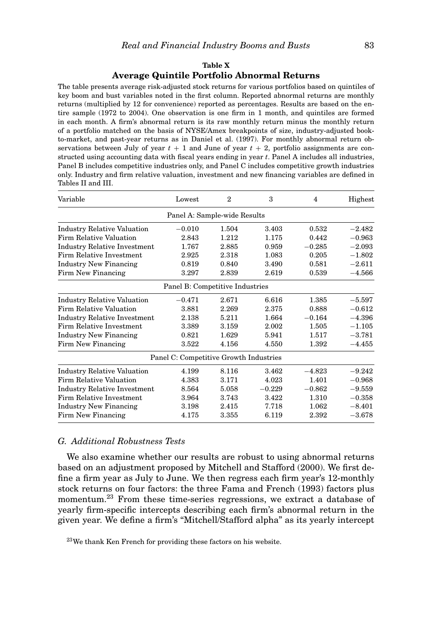### **Table X Average Quintile Portfolio Abnormal Returns**

The table presents average risk-adjusted stock returns for various portfolios based on quintiles of key boom and bust variables noted in the first column. Reported abnormal returns are monthly returns (multiplied by 12 for convenience) reported as percentages. Results are based on the entire sample (1972 to 2004). One observation is one firm in 1 month, and quintiles are formed in each month. A firm's abnormal return is its raw monthly return minus the monthly return of a portfolio matched on the basis of NYSE/Amex breakpoints of size, industry-adjusted bookto-market, and past-year returns as in Daniel et al. (1997). For monthly abnormal return observations between July of year  $t + 1$  and June of year  $t + 2$ , portfolio assignments are constructed using accounting data with fiscal years ending in year *t*. Panel A includes all industries, Panel B includes competitive industries only, and Panel C includes competitive growth industries only. Industry and firm relative valuation, investment and new financing variables are defined in Tables II and III.

| Variable                            | Lowest                                 | $\mathbf{2}$ | 3        | 4        | Highest  |
|-------------------------------------|----------------------------------------|--------------|----------|----------|----------|
|                                     | Panel A: Sample-wide Results           |              |          |          |          |
| <b>Industry Relative Valuation</b>  | $-0.010$                               | 1.504        | 3.403    | 0.532    | $-2.482$ |
| Firm Relative Valuation             | 2.843                                  | 1.212        | 1.175    | 0.442    | $-0.963$ |
| <b>Industry Relative Investment</b> | 1.767                                  | 2.885        | 0.959    | $-0.285$ | $-2.093$ |
| Firm Relative Investment            | 2.925                                  | 2.318        | 1.083    | 0.205    | $-1.802$ |
| <b>Industry New Financing</b>       | 0.819                                  | 0.840        | 3.490    | 0.581    | $-2.611$ |
| Firm New Financing                  | 3.297                                  | 2.839        | 2.619    | 0.539    | $-4.566$ |
|                                     | Panel B: Competitive Industries        |              |          |          |          |
| <b>Industry Relative Valuation</b>  | $-0.471$                               | 2.671        | 6.616    | 1.385    | $-5.597$ |
| Firm Relative Valuation             | 3.881                                  | 2.269        | 2.375    | 0.888    | $-0.612$ |
| <b>Industry Relative Investment</b> | 2.138                                  | 5.211        | 1.664    | $-0.164$ | $-4.396$ |
| Firm Relative Investment            | 3.389                                  | 3.159        | 2.002    | 1.505    | $-1.105$ |
| <b>Industry New Financing</b>       | 0.821                                  | 1.629        | 5.941    | 1.517    | $-3.781$ |
| Firm New Financing                  | 3.522                                  | 4.156        | 4.550    | 1.392    | $-4.455$ |
|                                     | Panel C: Competitive Growth Industries |              |          |          |          |
| <b>Industry Relative Valuation</b>  | 4.199                                  | 8.116        | 3.462    | $-4.823$ | $-9.242$ |
| Firm Relative Valuation             | 4.383                                  | 3.171        | 4.023    | 1.401    | $-0.968$ |
| <b>Industry Relative Investment</b> | 8.564                                  | 5.058        | $-0.229$ | $-0.862$ | $-9.559$ |
| Firm Relative Investment            | 3.964                                  | 3.743        | 3.422    | 1.310    | $-0.358$ |
| <b>Industry New Financing</b>       | 3.198                                  | 2.415        | 7.718    | 1.062    | $-8.401$ |
| Firm New Financing                  | 4.175                                  | 3.355        | 6.119    | 2.392    | $-3.678$ |

### *G. Additional Robustness Tests*

We also examine whether our results are robust to using abnormal returns based on an adjustment proposed by Mitchell and Stafford (2000). We first define a firm year as July to June. We then regress each firm year's 12-monthly stock returns on four factors: the three Fama and French (1993) factors plus momentum.<sup>23</sup> From these time-series regressions, we extract a database of yearly firm-specific intercepts describing each firm's abnormal return in the given year. We define a firm's "Mitchell/Stafford alpha" as its yearly intercept

23We thank Ken French for providing these factors on his website.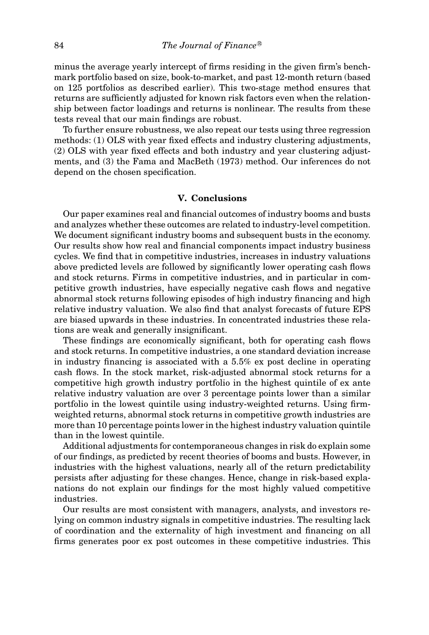minus the average yearly intercept of firms residing in the given firm's benchmark portfolio based on size, book-to-market, and past 12-month return (based on 125 portfolios as described earlier). This two-stage method ensures that returns are sufficiently adjusted for known risk factors even when the relationship between factor loadings and returns is nonlinear. The results from these tests reveal that our main findings are robust.

To further ensure robustness, we also repeat our tests using three regression methods: (1) OLS with year fixed effects and industry clustering adjustments, (2) OLS with year fixed effects and both industry and year clustering adjustments, and (3) the Fama and MacBeth (1973) method. Our inferences do not depend on the chosen specification.

### **V. Conclusions**

Our paper examines real and financial outcomes of industry booms and busts and analyzes whether these outcomes are related to industry-level competition. We document significant industry booms and subsequent busts in the economy. Our results show how real and financial components impact industry business cycles. We find that in competitive industries, increases in industry valuations above predicted levels are followed by significantly lower operating cash flows and stock returns. Firms in competitive industries, and in particular in competitive growth industries, have especially negative cash flows and negative abnormal stock returns following episodes of high industry financing and high relative industry valuation. We also find that analyst forecasts of future EPS are biased upwards in these industries. In concentrated industries these relations are weak and generally insignificant.

These findings are economically significant, both for operating cash flows and stock returns. In competitive industries, a one standard deviation increase in industry financing is associated with a 5.5% ex post decline in operating cash flows. In the stock market, risk-adjusted abnormal stock returns for a competitive high growth industry portfolio in the highest quintile of ex ante relative industry valuation are over 3 percentage points lower than a similar portfolio in the lowest quintile using industry-weighted returns. Using firmweighted returns, abnormal stock returns in competitive growth industries are more than 10 percentage points lower in the highest industry valuation quintile than in the lowest quintile.

Additional adjustments for contemporaneous changes in risk do explain some of our findings, as predicted by recent theories of booms and busts. However, in industries with the highest valuations, nearly all of the return predictability persists after adjusting for these changes. Hence, change in risk-based explanations do not explain our findings for the most highly valued competitive industries.

Our results are most consistent with managers, analysts, and investors relying on common industry signals in competitive industries. The resulting lack of coordination and the externality of high investment and financing on all firms generates poor ex post outcomes in these competitive industries. This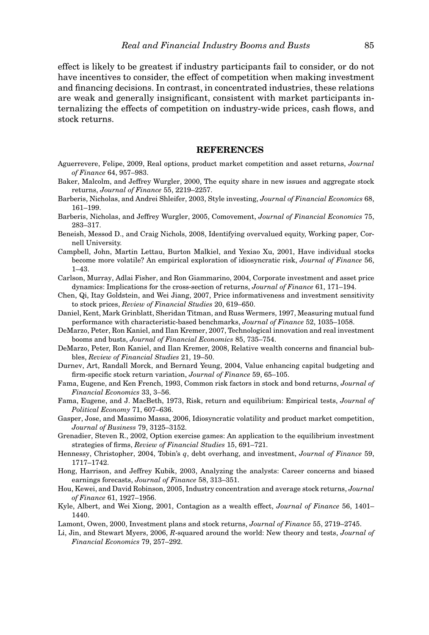effect is likely to be greatest if industry participants fail to consider, or do not have incentives to consider, the effect of competition when making investment and financing decisions. In contrast, in concentrated industries, these relations are weak and generally insignificant, consistent with market participants internalizing the effects of competition on industry-wide prices, cash flows, and stock returns.

### **REFERENCES**

- Aguerrevere, Felipe, 2009, Real options, product market competition and asset returns, *Journal of Finance* 64, 957–983.
- Baker, Malcolm, and Jeffrey Wurgler, 2000, The equity share in new issues and aggregate stock returns, *Journal of Finance* 55, 2219–2257.
- Barberis, Nicholas, and Andrei Shleifer, 2003, Style investing, *Journal of Financial Economics* 68, 161–199.
- Barberis, Nicholas, and Jeffrey Wurgler, 2005, Comovement, *Journal of Financial Economics* 75, 283–317.
- Beneish, Messod D., and Craig Nichols, 2008, Identifying overvalued equity, Working paper, Cornell University.
- Campbell, John, Martin Lettau, Burton Malkiel, and Yexiao Xu, 2001, Have individual stocks become more volatile? An empirical exploration of idiosyncratic risk, *Journal of Finance* 56, 1–43.
- Carlson, Murray, Adlai Fisher, and Ron Giammarino, 2004, Corporate investment and asset price dynamics: Implications for the cross-section of returns, *Journal of Finance* 61, 171–194.
- Chen, Qi, Itay Goldstein, and Wei Jiang, 2007, Price informativeness and investment sensitivity to stock prices, *Review of Financial Studies* 20, 619–650.
- Daniel, Kent, Mark Grinblatt, Sheridan Titman, and Russ Wermers, 1997, Measuring mutual fund performance with characteristic-based benchmarks, *Journal of Finance* 52, 1035–1058.
- DeMarzo, Peter, Ron Kaniel, and Ilan Kremer, 2007, Technological innovation and real investment booms and busts, *Journal of Financial Economics* 85, 735–754.
- DeMarzo, Peter, Ron Kaniel, and Ilan Kremer, 2008, Relative wealth concerns and financial bubbles, *Review of Financial Studies* 21, 19–50.
- Durnev, Art, Randall Morck, and Bernard Yeung, 2004, Value enhancing capital budgeting and firm-specific stock return variation, *Journal of Finance* 59, 65–105.
- Fama, Eugene, and Ken French, 1993, Common risk factors in stock and bond returns, *Journal of Financial Economics* 33, 3–56.
- Fama, Eugene, and J. MacBeth, 1973, Risk, return and equilibrium: Empirical tests, *Journal of Political Economy* 71, 607–636.
- Gasper, Jose, and Massimo Massa, 2006, Idiosyncratic volatility and product market competition, *Journal of Business* 79, 3125–3152.
- Grenadier, Steven R., 2002, Option exercise games: An application to the equilibrium investment strategies of firms, *Review of Financial Studies* 15, 691–721.
- Hennessy, Christopher, 2004, Tobin's *q*, debt overhang, and investment, *Journal of Finance* 59, 1717–1742.
- Hong, Harrison, and Jeffrey Kubik, 2003, Analyzing the analysts: Career concerns and biased earnings forecasts, *Journal of Finance* 58, 313–351.
- Hou, Kewei, and David Robinson, 2005, Industry concentration and average stock returns, *Journal of Finance* 61, 1927–1956.
- Kyle, Albert, and Wei Xiong, 2001, Contagion as a wealth effect, *Journal of Finance* 56, 1401– 1440.
- Lamont, Owen, 2000, Investment plans and stock returns, *Journal of Finance* 55, 2719–2745.
- Li, Jin, and Stewart Myers, 2006, *R*-squared around the world: New theory and tests, *Journal of Financial Economics* 79, 257–292.